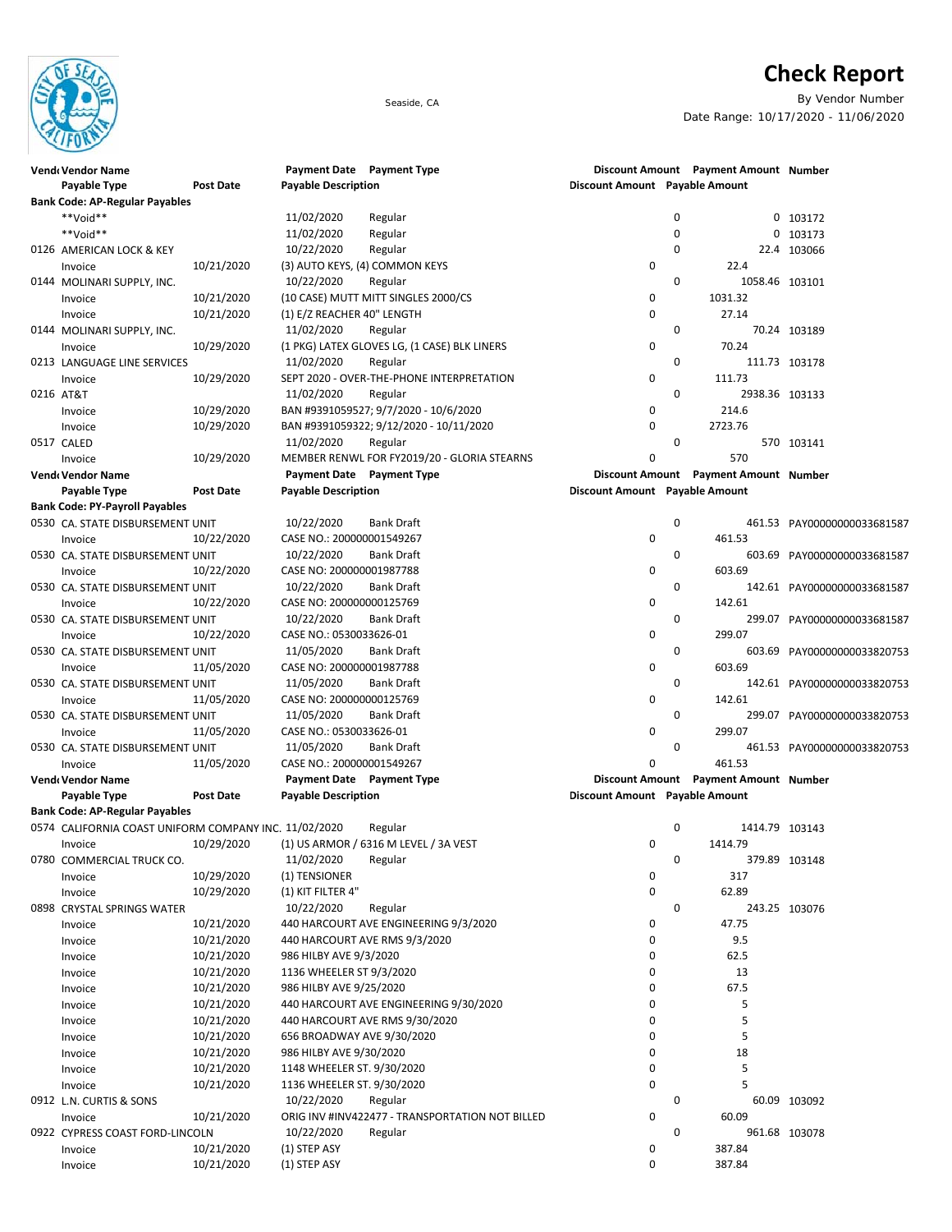

## **Check Report**

Seaside, CA By Vendor Number Date Range: 10/17/2020 - 11/06/2020

| <b>Vende Vendor Name</b>                              |                  | Payment Date Payment Type      |                                                 |                                |             | Discount Amount Payment Amount Number |                             |
|-------------------------------------------------------|------------------|--------------------------------|-------------------------------------------------|--------------------------------|-------------|---------------------------------------|-----------------------------|
| <b>Payable Type</b>                                   | <b>Post Date</b> | <b>Payable Description</b>     |                                                 | Discount Amount Payable Amount |             |                                       |                             |
| <b>Bank Code: AP-Regular Payables</b>                 |                  |                                |                                                 |                                |             |                                       |                             |
| **Void**                                              |                  | 11/02/2020                     | Regular                                         |                                | 0           |                                       | 0 103172                    |
| **Void**                                              |                  | 11/02/2020                     | Regular                                         |                                | 0           |                                       | 0 103173                    |
| 0126 AMERICAN LOCK & KEY                              |                  | 10/22/2020                     | Regular                                         |                                | 0           |                                       | 22.4 103066                 |
| Invoice                                               | 10/21/2020       | (3) AUTO KEYS, (4) COMMON KEYS |                                                 | 0                              |             | 22.4                                  |                             |
| 0144 MOLINARI SUPPLY, INC.                            |                  | 10/22/2020                     | Regular                                         |                                | $\mathbf 0$ | 1058.46 103101                        |                             |
| Invoice                                               | 10/21/2020       |                                | (10 CASE) MUTT MITT SINGLES 2000/CS             | 0                              |             | 1031.32                               |                             |
| Invoice                                               | 10/21/2020       | (1) E/Z REACHER 40" LENGTH     |                                                 | $\mathbf 0$                    |             | 27.14                                 |                             |
| 0144 MOLINARI SUPPLY, INC.                            |                  | 11/02/2020                     | Regular                                         |                                | 0           |                                       | 70.24 103189                |
| Invoice                                               | 10/29/2020       |                                | (1 PKG) LATEX GLOVES LG, (1 CASE) BLK LINERS    | 0                              |             | 70.24                                 |                             |
| 0213 LANGUAGE LINE SERVICES                           |                  | 11/02/2020                     | Regular                                         |                                | 0           |                                       | 111.73 103178               |
| Invoice                                               | 10/29/2020       |                                | SEPT 2020 - OVER-THE-PHONE INTERPRETATION       | 0                              |             | 111.73                                |                             |
| 0216 AT&T                                             |                  | 11/02/2020                     | Regular                                         |                                | 0           | 2938.36 103133                        |                             |
| Invoice                                               | 10/29/2020       |                                | BAN #9391059527; 9/7/2020 - 10/6/2020           | 0                              |             | 214.6                                 |                             |
| Invoice                                               | 10/29/2020       |                                | BAN #9391059322; 9/12/2020 - 10/11/2020         | $\mathbf 0$                    |             | 2723.76                               |                             |
| 0517 CALED                                            |                  | 11/02/2020                     | Regular                                         |                                | 0           |                                       | 570 103141                  |
| Invoice                                               | 10/29/2020       |                                | MEMBER RENWL FOR FY2019/20 - GLORIA STEARNS     | 0                              |             | 570                                   |                             |
| Vend Vendor Name                                      |                  | Payment Date Payment Type      |                                                 |                                |             | Discount Amount Payment Amount Number |                             |
| Payable Type                                          | <b>Post Date</b> | <b>Payable Description</b>     |                                                 | Discount Amount Payable Amount |             |                                       |                             |
| <b>Bank Code: PY-Payroll Payables</b>                 |                  |                                |                                                 |                                |             |                                       |                             |
| 0530 CA. STATE DISBURSEMENT UNIT                      |                  | 10/22/2020                     | Bank Draft                                      |                                | 0           |                                       | 461.53 PAY00000000033681587 |
|                                                       | 10/22/2020       | CASE NO.: 200000001549267      |                                                 | 0                              |             | 461.53                                |                             |
| Invoice<br>0530 CA. STATE DISBURSEMENT UNIT           |                  | 10/22/2020                     | <b>Bank Draft</b>                               |                                | $\mathbf 0$ |                                       |                             |
|                                                       | 10/22/2020       | CASE NO: 200000001987788       |                                                 | 0                              |             | 603.69                                | 603.69 PAY00000000033681587 |
| Invoice                                               |                  | 10/22/2020                     |                                                 |                                |             |                                       |                             |
| 0530 CA. STATE DISBURSEMENT UNIT                      |                  |                                | Bank Draft                                      | 0                              | 0           |                                       | 142.61 PAY00000000033681587 |
| Invoice                                               | 10/22/2020       | CASE NO: 200000000125769       |                                                 |                                |             | 142.61                                |                             |
| 0530 CA. STATE DISBURSEMENT UNIT                      |                  | 10/22/2020                     | Bank Draft                                      |                                | 0           | 299.07                                | 299.07 PAY00000000033681587 |
| Invoice                                               | 10/22/2020       | CASE NO.: 0530033626-01        |                                                 | 0                              |             |                                       |                             |
| 0530 CA. STATE DISBURSEMENT UNIT                      |                  | 11/05/2020                     | Bank Draft                                      |                                | 0           |                                       | 603.69 PAY00000000033820753 |
| Invoice                                               | 11/05/2020       | CASE NO: 200000001987788       |                                                 | 0                              |             | 603.69                                |                             |
| 0530 CA. STATE DISBURSEMENT UNIT                      |                  | 11/05/2020                     | Bank Draft                                      |                                | 0           |                                       | 142.61 PAY00000000033820753 |
| Invoice                                               | 11/05/2020       | CASE NO: 200000000125769       |                                                 | 0                              |             | 142.61                                |                             |
| 0530 CA. STATE DISBURSEMENT UNIT                      |                  | 11/05/2020                     | <b>Bank Draft</b>                               |                                | 0           |                                       | 299.07 PAY00000000033820753 |
| Invoice                                               | 11/05/2020       | CASE NO.: 0530033626-01        |                                                 | 0                              |             | 299.07                                |                             |
| 0530 CA. STATE DISBURSEMENT UNIT                      |                  | 11/05/2020                     | Bank Draft                                      |                                | 0           |                                       | 461.53 PAY00000000033820753 |
| Invoice                                               | 11/05/2020       | CASE NO.: 200000001549267      |                                                 | 0                              |             | 461.53                                |                             |
| Vend Vendor Name                                      |                  | Payment Date Payment Type      |                                                 |                                |             | Discount Amount Payment Amount Number |                             |
| Payable Type                                          | Post Date        | <b>Payable Description</b>     |                                                 | Discount Amount Payable Amount |             |                                       |                             |
| <b>Bank Code: AP-Regular Payables</b>                 |                  |                                |                                                 |                                |             |                                       |                             |
| 0574 CALIFORNIA COAST UNIFORM COMPANY INC. 11/02/2020 |                  |                                | Regular                                         |                                | 0           | 1414.79 103143                        |                             |
| Invoice                                               | 10/29/2020       |                                | (1) US ARMOR / 6316 M LEVEL / 3A VEST           | 0                              |             | 1414.79                               |                             |
| 0780 COMMERCIAL TRUCK CO.                             |                  | 11/02/2020                     | Regular                                         |                                | 0           |                                       | 379.89 103148               |
| Invoice                                               | 10/29/2020       | (1) TENSIONER                  |                                                 | 0                              |             | 317                                   |                             |
| Invoice                                               | 10/29/2020       | (1) KIT FILTER 4"              |                                                 | 0                              |             | 62.89                                 |                             |
| 0898 CRYSTAL SPRINGS WATER                            |                  | 10/22/2020                     | Regular                                         |                                | 0           |                                       | 243.25 103076               |
| Invoice                                               | 10/21/2020       |                                | 440 HARCOURT AVE ENGINEERING 9/3/2020           | 0                              |             | 47.75                                 |                             |
| Invoice                                               | 10/21/2020       |                                | 440 HARCOURT AVE RMS 9/3/2020                   | 0                              |             | 9.5                                   |                             |
| Invoice                                               | 10/21/2020       | 986 HILBY AVE 9/3/2020         |                                                 | 0                              |             | 62.5                                  |                             |
| Invoice                                               | 10/21/2020       | 1136 WHEELER ST 9/3/2020       |                                                 | 0                              |             | 13                                    |                             |
| Invoice                                               | 10/21/2020       | 986 HILBY AVE 9/25/2020        |                                                 | 0                              |             | 67.5                                  |                             |
| Invoice                                               | 10/21/2020       |                                | 440 HARCOURT AVE ENGINEERING 9/30/2020          | 0                              |             | 5                                     |                             |
| Invoice                                               | 10/21/2020       |                                | 440 HARCOURT AVE RMS 9/30/2020                  | 0                              |             | 5                                     |                             |
| Invoice                                               | 10/21/2020       | 656 BROADWAY AVE 9/30/2020     |                                                 | 0                              |             | 5                                     |                             |
| Invoice                                               | 10/21/2020       | 986 HILBY AVE 9/30/2020        |                                                 | 0                              |             | 18                                    |                             |
| Invoice                                               | 10/21/2020       | 1148 WHEELER ST. 9/30/2020     |                                                 | 0                              |             | 5                                     |                             |
| Invoice                                               | 10/21/2020       | 1136 WHEELER ST. 9/30/2020     |                                                 | 0                              |             | 5                                     |                             |
| 0912 L.N. CURTIS & SONS                               |                  | 10/22/2020                     | Regular                                         |                                | 0           |                                       | 60.09 103092                |
| Invoice                                               | 10/21/2020       |                                | ORIG INV #INV422477 - TRANSPORTATION NOT BILLED | 0                              |             | 60.09                                 |                             |
| 0922 CYPRESS COAST FORD-LINCOLN                       |                  | 10/22/2020                     | Regular                                         |                                | 0           |                                       | 961.68 103078               |
| Invoice                                               | 10/21/2020       | (1) STEP ASY                   |                                                 | 0                              |             | 387.84                                |                             |

Invoice 10/21/2020 (1) STEP ASY 0 387.84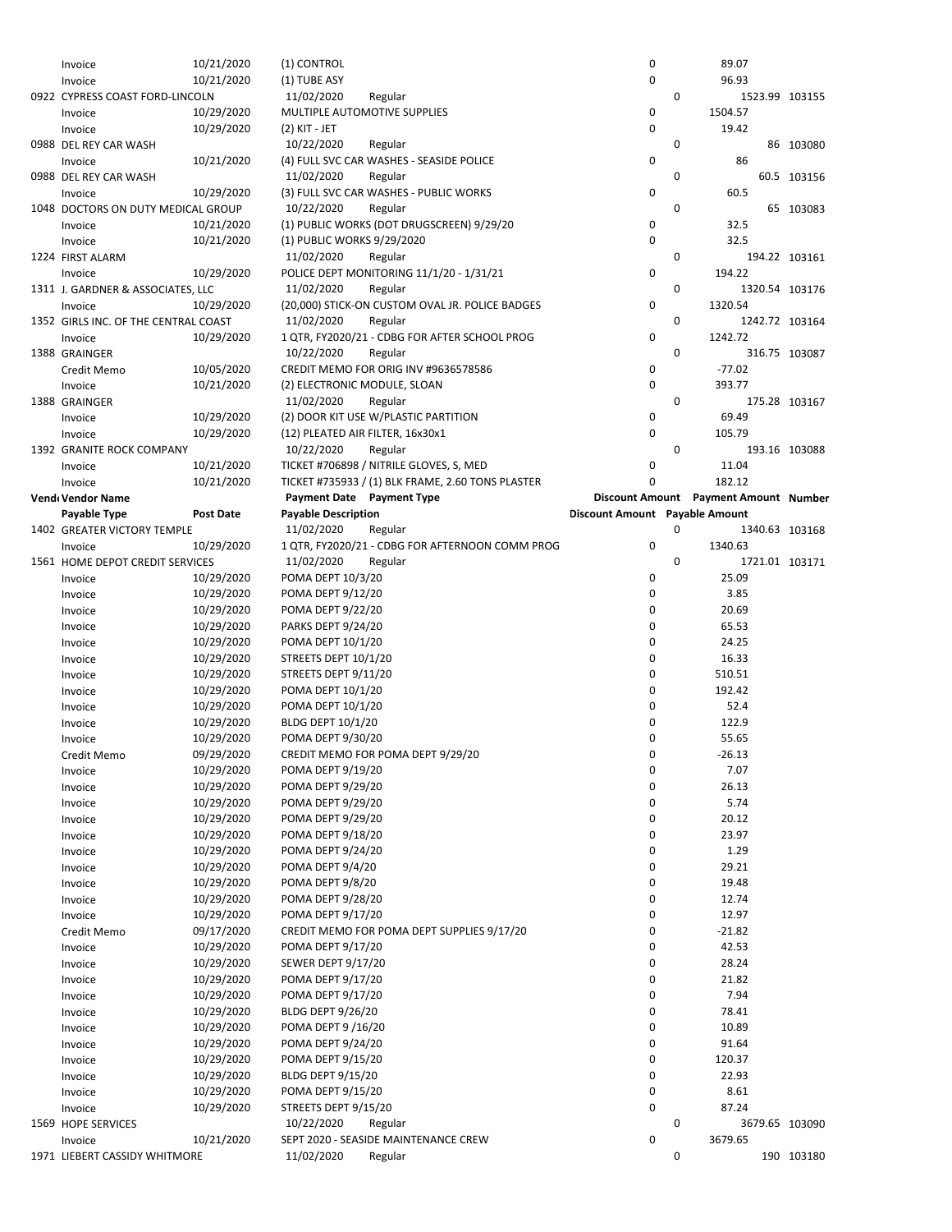| Invoice                              | 10/21/2020       | (1) CONTROL                      |                                                   | 0                                     |   | 89.07    |                |  |
|--------------------------------------|------------------|----------------------------------|---------------------------------------------------|---------------------------------------|---|----------|----------------|--|
| Invoice                              | 10/21/2020       | (1) TUBE ASY                     |                                                   | 0                                     |   | 96.93    |                |  |
| 0922 CYPRESS COAST FORD-LINCOLN      |                  | 11/02/2020                       | Regular                                           |                                       | 0 |          | 1523.99 103155 |  |
| Invoice                              | 10/29/2020       |                                  | MULTIPLE AUTOMOTIVE SUPPLIES                      | 0                                     |   | 1504.57  |                |  |
| Invoice                              | 10/29/2020       | (2) KIT - JET                    |                                                   | 0                                     |   | 19.42    |                |  |
| 0988 DEL REY CAR WASH                |                  | 10/22/2020                       | Regular                                           |                                       | 0 |          | 86 103080      |  |
|                                      | 10/21/2020       |                                  | (4) FULL SVC CAR WASHES - SEASIDE POLICE          | 0                                     |   | 86       |                |  |
| Invoice                              |                  |                                  |                                                   |                                       |   |          |                |  |
| 0988 DEL REY CAR WASH                |                  | 11/02/2020                       | Regular                                           |                                       | 0 |          | 60.5 103156    |  |
| Invoice                              | 10/29/2020       |                                  | (3) FULL SVC CAR WASHES - PUBLIC WORKS            | 0                                     |   | 60.5     |                |  |
| 1048 DOCTORS ON DUTY MEDICAL GROUP   |                  | 10/22/2020                       | Regular                                           |                                       | 0 |          | 65 103083      |  |
| Invoice                              | 10/21/2020       |                                  | (1) PUBLIC WORKS (DOT DRUGSCREEN) 9/29/20         | 0                                     |   | 32.5     |                |  |
| Invoice                              | 10/21/2020       | (1) PUBLIC WORKS 9/29/2020       |                                                   | 0                                     |   | 32.5     |                |  |
| 1224 FIRST ALARM                     |                  | 11/02/2020                       | Regular                                           |                                       | 0 |          | 194.22 103161  |  |
| Invoice                              | 10/29/2020       |                                  | POLICE DEPT MONITORING 11/1/20 - 1/31/21          | 0                                     |   | 194.22   |                |  |
| 1311 J. GARDNER & ASSOCIATES, LLC    |                  | 11/02/2020                       | Regular                                           |                                       | 0 |          | 1320.54 103176 |  |
| Invoice                              | 10/29/2020       |                                  | (20,000) STICK-ON CUSTOM OVAL JR. POLICE BADGES   | 0                                     |   | 1320.54  |                |  |
| 1352 GIRLS INC. OF THE CENTRAL COAST |                  | 11/02/2020                       | Regular                                           |                                       | 0 |          | 1242.72 103164 |  |
|                                      |                  |                                  |                                                   |                                       |   |          |                |  |
| Invoice                              | 10/29/2020       |                                  | 1 QTR, FY2020/21 - CDBG FOR AFTER SCHOOL PROG     | 0                                     |   | 1242.72  |                |  |
| 1388 GRAINGER                        |                  | 10/22/2020                       | Regular                                           |                                       | 0 |          | 316.75 103087  |  |
| Credit Memo                          | 10/05/2020       |                                  | CREDIT MEMO FOR ORIG INV #9636578586              | 0                                     |   | $-77.02$ |                |  |
| Invoice                              | 10/21/2020       | (2) ELECTRONIC MODULE, SLOAN     |                                                   | 0                                     |   | 393.77   |                |  |
| 1388 GRAINGER                        |                  | 11/02/2020                       | Regular                                           |                                       | 0 |          | 175.28 103167  |  |
| Invoice                              | 10/29/2020       |                                  | (2) DOOR KIT USE W/PLASTIC PARTITION              | 0                                     |   | 69.49    |                |  |
| Invoice                              | 10/29/2020       | (12) PLEATED AIR FILTER, 16x30x1 |                                                   | 0                                     |   | 105.79   |                |  |
| 1392 GRANITE ROCK COMPANY            |                  | 10/22/2020                       | Regular                                           |                                       | 0 |          | 193.16 103088  |  |
| Invoice                              | 10/21/2020       |                                  | TICKET #706898 / NITRILE GLOVES, S, MED           | 0                                     |   | 11.04    |                |  |
|                                      | 10/21/2020       |                                  | TICKET #735933 / (1) BLK FRAME, 2.60 TONS PLASTER | 0                                     |   | 182.12   |                |  |
| Invoice                              |                  |                                  |                                                   |                                       |   |          |                |  |
| Vend Vendor Name                     |                  | Payment Date Payment Type        |                                                   | Discount Amount Payment Amount Number |   |          |                |  |
| Payable Type                         | <b>Post Date</b> | <b>Payable Description</b>       |                                                   | Discount Amount Payable Amount        |   |          |                |  |
| 1402 GREATER VICTORY TEMPLE          |                  | 11/02/2020                       | Regular                                           |                                       | 0 |          | 1340.63 103168 |  |
| Invoice                              | 10/29/2020       |                                  | 1 QTR, FY2020/21 - CDBG FOR AFTERNOON COMM PROG   | 0                                     |   | 1340.63  |                |  |
| 1561 HOME DEPOT CREDIT SERVICES      |                  | 11/02/2020                       | Regular                                           |                                       | 0 |          | 1721.01 103171 |  |
| Invoice                              | 10/29/2020       | POMA DEPT 10/3/20                |                                                   | 0                                     |   | 25.09    |                |  |
| Invoice                              | 10/29/2020       | POMA DEPT 9/12/20                |                                                   | 0                                     |   | 3.85     |                |  |
| Invoice                              | 10/29/2020       | POMA DEPT 9/22/20                |                                                   | 0                                     |   | 20.69    |                |  |
| Invoice                              | 10/29/2020       | <b>PARKS DEPT 9/24/20</b>        |                                                   | 0                                     |   | 65.53    |                |  |
|                                      | 10/29/2020       | POMA DEPT 10/1/20                |                                                   | 0                                     |   | 24.25    |                |  |
| Invoice                              |                  |                                  |                                                   |                                       |   |          |                |  |
| Invoice                              | 10/29/2020       | STREETS DEPT 10/1/20             |                                                   | 0                                     |   | 16.33    |                |  |
| Invoice                              | 10/29/2020       | STREETS DEPT 9/11/20             |                                                   | 0                                     |   | 510.51   |                |  |
| Invoice                              | 10/29/2020       | POMA DEPT 10/1/20                |                                                   | 0                                     |   | 192.42   |                |  |
| Invoice                              | 10/29/2020       | POMA DEPT 10/1/20                |                                                   | 0                                     |   | 52.4     |                |  |
| Invoice                              | 10/29/2020       | <b>BLDG DEPT 10/1/20</b>         |                                                   | 0                                     |   | 122.9    |                |  |
| Invoice                              | 10/29/2020       | POMA DEPT 9/30/20                |                                                   | 0                                     |   | 55.65    |                |  |
| Credit Memo                          | 09/29/2020       |                                  | CREDIT MEMO FOR POMA DEPT 9/29/20                 | 0                                     |   | $-26.13$ |                |  |
| Invoice                              | 10/29/2020       | POMA DEPT 9/19/20                |                                                   | 0                                     |   | 7.07     |                |  |
| Invoice                              | 10/29/2020       | POMA DEPT 9/29/20                |                                                   | 0                                     |   | 26.13    |                |  |
| Invoice                              | 10/29/2020       | POMA DEPT 9/29/20                |                                                   | 0                                     |   | 5.74     |                |  |
|                                      |                  |                                  |                                                   |                                       |   |          |                |  |
| Invoice                              | 10/29/2020       | POMA DEPT 9/29/20                |                                                   | 0                                     |   | 20.12    |                |  |
| Invoice                              | 10/29/2020       | POMA DEPT 9/18/20                |                                                   | 0                                     |   | 23.97    |                |  |
| Invoice                              | 10/29/2020       | POMA DEPT 9/24/20                |                                                   | 0                                     |   | 1.29     |                |  |
| Invoice                              | 10/29/2020       | <b>POMA DEPT 9/4/20</b>          |                                                   | 0                                     |   | 29.21    |                |  |
| Invoice                              | 10/29/2020       | POMA DEPT 9/8/20                 |                                                   | 0                                     |   | 19.48    |                |  |
| Invoice                              | 10/29/2020       | POMA DEPT 9/28/20                |                                                   | 0                                     |   | 12.74    |                |  |
| Invoice                              | 10/29/2020       | POMA DEPT 9/17/20                |                                                   | 0                                     |   | 12.97    |                |  |
| Credit Memo                          | 09/17/2020       |                                  | CREDIT MEMO FOR POMA DEPT SUPPLIES 9/17/20        | 0                                     |   | $-21.82$ |                |  |
| Invoice                              | 10/29/2020       | POMA DEPT 9/17/20                |                                                   | 0                                     |   | 42.53    |                |  |
| Invoice                              | 10/29/2020       | <b>SEWER DEPT 9/17/20</b>        |                                                   | 0                                     |   | 28.24    |                |  |
|                                      |                  |                                  |                                                   | 0                                     |   | 21.82    |                |  |
| Invoice                              | 10/29/2020       | POMA DEPT 9/17/20                |                                                   |                                       |   |          |                |  |
| Invoice                              | 10/29/2020       | POMA DEPT 9/17/20                |                                                   | 0                                     |   | 7.94     |                |  |
| Invoice                              | 10/29/2020       | <b>BLDG DEPT 9/26/20</b>         |                                                   | 0                                     |   | 78.41    |                |  |
| Invoice                              | 10/29/2020       | POMA DEPT 9/16/20                |                                                   | 0                                     |   | 10.89    |                |  |
| Invoice                              | 10/29/2020       | POMA DEPT 9/24/20                |                                                   | 0                                     |   | 91.64    |                |  |
| Invoice                              | 10/29/2020       | POMA DEPT 9/15/20                |                                                   | 0                                     |   | 120.37   |                |  |
| Invoice                              | 10/29/2020       | <b>BLDG DEPT 9/15/20</b>         |                                                   | 0                                     |   | 22.93    |                |  |
| Invoice                              | 10/29/2020       | POMA DEPT 9/15/20                |                                                   | 0                                     |   | 8.61     |                |  |
| Invoice                              | 10/29/2020       | STREETS DEPT 9/15/20             |                                                   | 0                                     |   | 87.24    |                |  |
| 1569 HOPE SERVICES                   |                  | 10/22/2020                       | Regular                                           |                                       | 0 |          | 3679.65 103090 |  |
| Invoice                              | 10/21/2020       |                                  | SEPT 2020 - SEASIDE MAINTENANCE CREW              | 0                                     |   | 3679.65  |                |  |
|                                      |                  | 11/02/2020                       |                                                   |                                       | 0 |          |                |  |
| 1971 LIEBERT CASSIDY WHITMORE        |                  |                                  | Regular                                           |                                       |   |          | 190 103180     |  |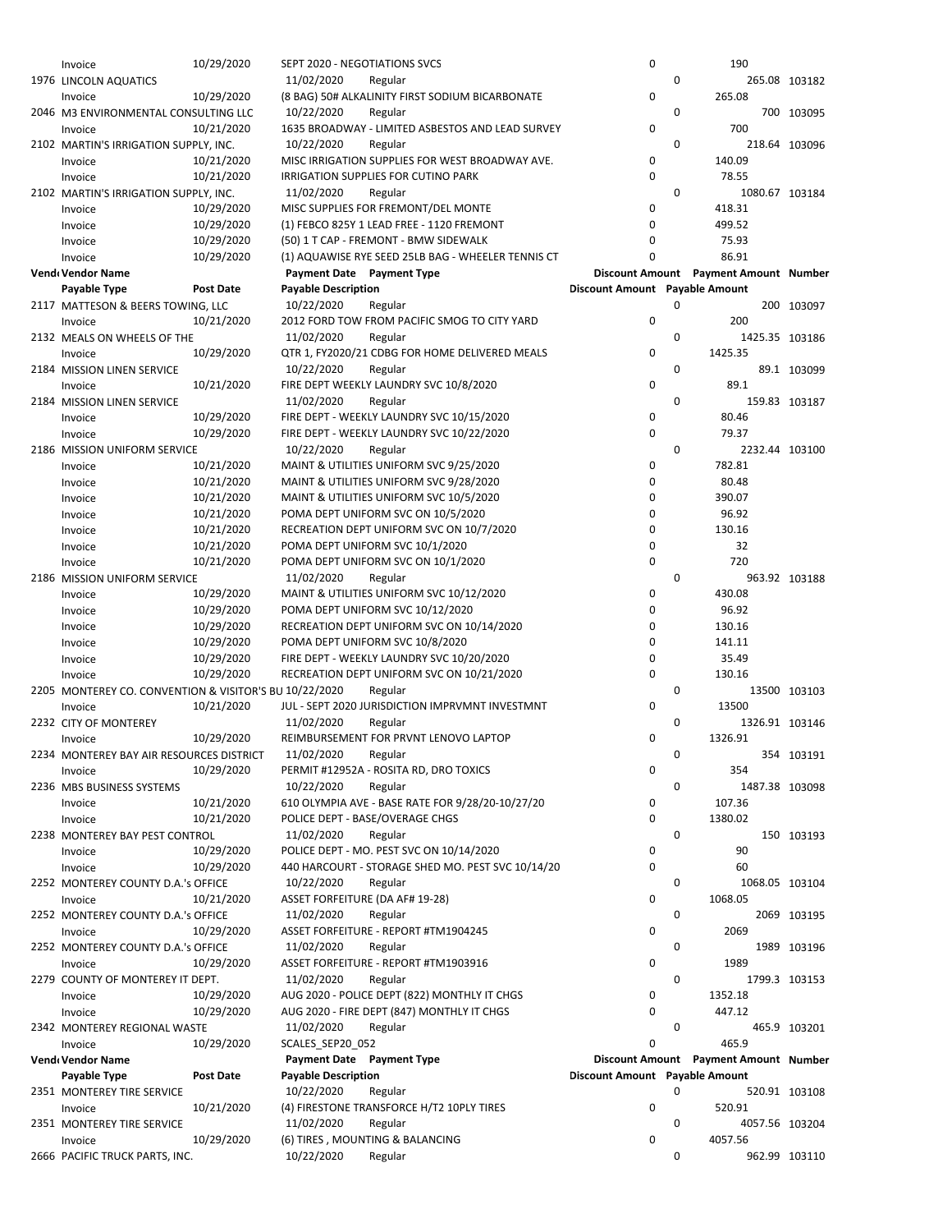| Invoice                                                | 10/29/2020       | SEPT 2020 - NEGOTIATIONS SVCS |                                                    | 0                              |             | 190                                   |               |
|--------------------------------------------------------|------------------|-------------------------------|----------------------------------------------------|--------------------------------|-------------|---------------------------------------|---------------|
| 1976 LINCOLN AQUATICS                                  |                  | 11/02/2020                    | Regular                                            |                                | 0           |                                       | 265.08 103182 |
| Invoice                                                | 10/29/2020       |                               | (8 BAG) 50# ALKALINITY FIRST SODIUM BICARBONATE    | 0                              |             | 265.08                                |               |
| 2046 M3 ENVIRONMENTAL CONSULTING LLC                   |                  | 10/22/2020                    | Regular                                            |                                | 0           |                                       | 700 103095    |
|                                                        |                  |                               |                                                    |                                |             |                                       |               |
| Invoice                                                | 10/21/2020       |                               | 1635 BROADWAY - LIMITED ASBESTOS AND LEAD SURVEY   | 0                              |             | 700                                   |               |
| 2102 MARTIN'S IRRIGATION SUPPLY, INC.                  |                  | 10/22/2020                    | Regular                                            |                                | 0           |                                       | 218.64 103096 |
| Invoice                                                | 10/21/2020       |                               | MISC IRRIGATION SUPPLIES FOR WEST BROADWAY AVE.    | 0                              |             | 140.09                                |               |
| Invoice                                                | 10/21/2020       |                               | IRRIGATION SUPPLIES FOR CUTINO PARK                | 0                              |             | 78.55                                 |               |
| 2102 MARTIN'S IRRIGATION SUPPLY, INC.                  |                  | 11/02/2020                    | Regular                                            |                                | 0           | 1080.67 103184                        |               |
| Invoice                                                | 10/29/2020       |                               | MISC SUPPLIES FOR FREMONT/DEL MONTE                | 0                              |             | 418.31                                |               |
|                                                        | 10/29/2020       |                               | (1) FEBCO 825Y 1 LEAD FREE - 1120 FREMONT          | 0                              |             | 499.52                                |               |
| Invoice                                                |                  |                               |                                                    |                                |             |                                       |               |
| Invoice                                                | 10/29/2020       |                               | (50) 1 T CAP - FREMONT - BMW SIDEWALK              | 0                              |             | 75.93                                 |               |
| Invoice                                                | 10/29/2020       |                               | (1) AQUAWISE RYE SEED 25LB BAG - WHEELER TENNIS CT | 0                              |             | 86.91                                 |               |
| Vend Vendor Name                                       |                  |                               | Payment Date Payment Type                          |                                |             | Discount Amount Payment Amount Number |               |
| Payable Type                                           | <b>Post Date</b> | <b>Payable Description</b>    |                                                    | Discount Amount Payable Amount |             |                                       |               |
| 2117 MATTESON & BEERS TOWING, LLC                      |                  | 10/22/2020                    | Regular                                            |                                | 0           |                                       | 200 103097    |
| Invoice                                                | 10/21/2020       |                               | 2012 FORD TOW FROM PACIFIC SMOG TO CITY YARD       | 0                              |             | 200                                   |               |
| 2132 MEALS ON WHEELS OF THE                            |                  | 11/02/2020                    | Regular                                            |                                | 0           | 1425.35 103186                        |               |
| Invoice                                                | 10/29/2020       |                               | QTR 1, FY2020/21 CDBG FOR HOME DELIVERED MEALS     | 0                              |             | 1425.35                               |               |
|                                                        |                  |                               |                                                    |                                | 0           |                                       |               |
| 2184 MISSION LINEN SERVICE                             |                  | 10/22/2020                    | Regular                                            |                                |             |                                       | 89.1 103099   |
| Invoice                                                | 10/21/2020       |                               | FIRE DEPT WEEKLY LAUNDRY SVC 10/8/2020             | 0                              |             | 89.1                                  |               |
| 2184 MISSION LINEN SERVICE                             |                  | 11/02/2020                    | Regular                                            |                                | 0           |                                       | 159.83 103187 |
| Invoice                                                | 10/29/2020       |                               | FIRE DEPT - WEEKLY LAUNDRY SVC 10/15/2020          | 0                              |             | 80.46                                 |               |
| Invoice                                                | 10/29/2020       |                               | FIRE DEPT - WEEKLY LAUNDRY SVC 10/22/2020          | 0                              |             | 79.37                                 |               |
| 2186 MISSION UNIFORM SERVICE                           |                  | 10/22/2020                    | Regular                                            |                                | 0           | 2232.44 103100                        |               |
| Invoice                                                | 10/21/2020       |                               | MAINT & UTILITIES UNIFORM SVC 9/25/2020            | 0                              |             | 782.81                                |               |
| Invoice                                                | 10/21/2020       |                               | MAINT & UTILITIES UNIFORM SVC 9/28/2020            | 0                              |             | 80.48                                 |               |
| Invoice                                                | 10/21/2020       |                               | MAINT & UTILITIES UNIFORM SVC 10/5/2020            | 0                              |             | 390.07                                |               |
|                                                        |                  |                               |                                                    | 0                              |             | 96.92                                 |               |
| Invoice                                                | 10/21/2020       |                               | POMA DEPT UNIFORM SVC ON 10/5/2020                 |                                |             |                                       |               |
| Invoice                                                | 10/21/2020       |                               | RECREATION DEPT UNIFORM SVC ON 10/7/2020           | 0                              |             | 130.16                                |               |
| Invoice                                                | 10/21/2020       |                               | POMA DEPT UNIFORM SVC 10/1/2020                    | 0                              |             | 32                                    |               |
| Invoice                                                | 10/21/2020       |                               | POMA DEPT UNIFORM SVC ON 10/1/2020                 | 0                              |             | 720                                   |               |
| 2186 MISSION UNIFORM SERVICE                           |                  | 11/02/2020                    | Regular                                            |                                | $\mathbf 0$ |                                       | 963.92 103188 |
| Invoice                                                | 10/29/2020       |                               | MAINT & UTILITIES UNIFORM SVC 10/12/2020           | 0                              |             | 430.08                                |               |
| Invoice                                                | 10/29/2020       |                               | POMA DEPT UNIFORM SVC 10/12/2020                   | 0                              |             | 96.92                                 |               |
| Invoice                                                | 10/29/2020       |                               | RECREATION DEPT UNIFORM SVC ON 10/14/2020          | 0                              |             | 130.16                                |               |
| Invoice                                                | 10/29/2020       |                               | POMA DEPT UNIFORM SVC 10/8/2020                    | 0                              |             | 141.11                                |               |
| Invoice                                                | 10/29/2020       |                               | FIRE DEPT - WEEKLY LAUNDRY SVC 10/20/2020          | 0                              |             | 35.49                                 |               |
|                                                        |                  |                               |                                                    | 0                              |             |                                       |               |
| Invoice                                                | 10/29/2020       |                               | RECREATION DEPT UNIFORM SVC ON 10/21/2020          |                                |             | 130.16                                |               |
| 2205 MONTEREY CO. CONVENTION & VISITOR'S BU 10/22/2020 |                  |                               | Regular                                            |                                | 0           |                                       | 13500 103103  |
| Invoice                                                | 10/21/2020       |                               | JUL - SEPT 2020 JURISDICTION IMPRVMNT INVESTMNT    | 0                              |             | 13500                                 |               |
| 2232 CITY OF MONTEREY                                  |                  | 11/02/2020                    | Regular                                            |                                | 0           | 1326.91 103146                        |               |
| Invoice                                                | 10/29/2020       |                               | REIMBURSEMENT FOR PRVNT LENOVO LAPTOP              | 0                              |             | 1326.91                               |               |
| 2234 MONTEREY BAY AIR RESOURCES DISTRICT               |                  | 11/02/2020                    | Regular                                            |                                | 0           |                                       | 354 103191    |
| Invoice                                                | 10/29/2020       |                               | PERMIT #12952A - ROSITA RD, DRO TOXICS             | 0                              |             | 354                                   |               |
| 2236 MBS BUSINESS SYSTEMS                              |                  | 10/22/2020                    | Regular                                            |                                | 0           | 1487.38 103098                        |               |
| Invoice                                                | 10/21/2020       |                               | 610 OLYMPIA AVE - BASE RATE FOR 9/28/20-10/27/20   | 0                              |             | 107.36                                |               |
|                                                        | 10/21/2020       |                               | POLICE DEPT - BASE/OVERAGE CHGS                    | 0                              |             | 1380.02                               |               |
| Invoice                                                |                  |                               |                                                    |                                |             |                                       |               |
| 2238 MONTEREY BAY PEST CONTROL                         |                  | 11/02/2020                    | Regular                                            |                                | 0           |                                       | 150 103193    |
| Invoice                                                | 10/29/2020       |                               | POLICE DEPT - MO. PEST SVC ON 10/14/2020           | 0                              |             | 90                                    |               |
| Invoice                                                | 10/29/2020       |                               | 440 HARCOURT - STORAGE SHED MO. PEST SVC 10/14/20  | 0                              |             | 60                                    |               |
| 2252 MONTEREY COUNTY D.A.'s OFFICE                     |                  | 10/22/2020                    | Regular                                            |                                | 0           | 1068.05 103104                        |               |
| Invoice                                                | 10/21/2020       |                               | ASSET FORFEITURE (DA AF# 19-28)                    | 0                              |             | 1068.05                               |               |
| 2252 MONTEREY COUNTY D.A.'s OFFICE                     |                  | 11/02/2020                    | Regular                                            |                                | 0           |                                       | 2069 103195   |
| Invoice                                                | 10/29/2020       |                               | ASSET FORFEITURE - REPORT #TM1904245               | 0                              |             | 2069                                  |               |
| 2252 MONTEREY COUNTY D.A.'s OFFICE                     |                  | 11/02/2020                    | Regular                                            |                                | 0           |                                       | 1989 103196   |
| Invoice                                                | 10/29/2020       |                               | ASSET FORFEITURE - REPORT #TM1903916               | 0                              |             | 1989                                  |               |
| 2279 COUNTY OF MONTEREY IT DEPT.                       |                  | 11/02/2020                    | Regular                                            |                                | 0           |                                       | 1799.3 103153 |
|                                                        |                  |                               |                                                    |                                |             |                                       |               |
| Invoice                                                | 10/29/2020       |                               | AUG 2020 - POLICE DEPT (822) MONTHLY IT CHGS       | 0                              |             | 1352.18                               |               |
| Invoice                                                | 10/29/2020       |                               | AUG 2020 - FIRE DEPT (847) MONTHLY IT CHGS         | 0                              |             | 447.12                                |               |
| 2342 MONTEREY REGIONAL WASTE                           |                  | 11/02/2020                    | Regular                                            |                                | 0           |                                       | 465.9 103201  |
| Invoice                                                | 10/29/2020       | SCALES_SEP20_052              |                                                    | 0                              |             | 465.9                                 |               |
| Vendı Vendor Name                                      |                  |                               | Payment Date Payment Type                          |                                |             | Discount Amount Payment Amount Number |               |
| Payable Type                                           | Post Date        | <b>Payable Description</b>    |                                                    | Discount Amount Payable Amount |             |                                       |               |
| 2351 MONTEREY TIRE SERVICE                             |                  | 10/22/2020                    | Regular                                            |                                | 0           |                                       | 520.91 103108 |
| Invoice                                                | 10/21/2020       |                               | (4) FIRESTONE TRANSFORCE H/T2 10PLY TIRES          | 0                              |             | 520.91                                |               |
| 2351 MONTEREY TIRE SERVICE                             |                  | 11/02/2020                    | Regular                                            |                                | 0           | 4057.56 103204                        |               |
| Invoice                                                | 10/29/2020       |                               | (6) TIRES, MOUNTING & BALANCING                    | 0                              |             | 4057.56                               |               |
| 2666 PACIFIC TRUCK PARTS, INC.                         |                  | 10/22/2020                    | Regular                                            |                                | 0           |                                       | 962.99 103110 |
|                                                        |                  |                               |                                                    |                                |             |                                       |               |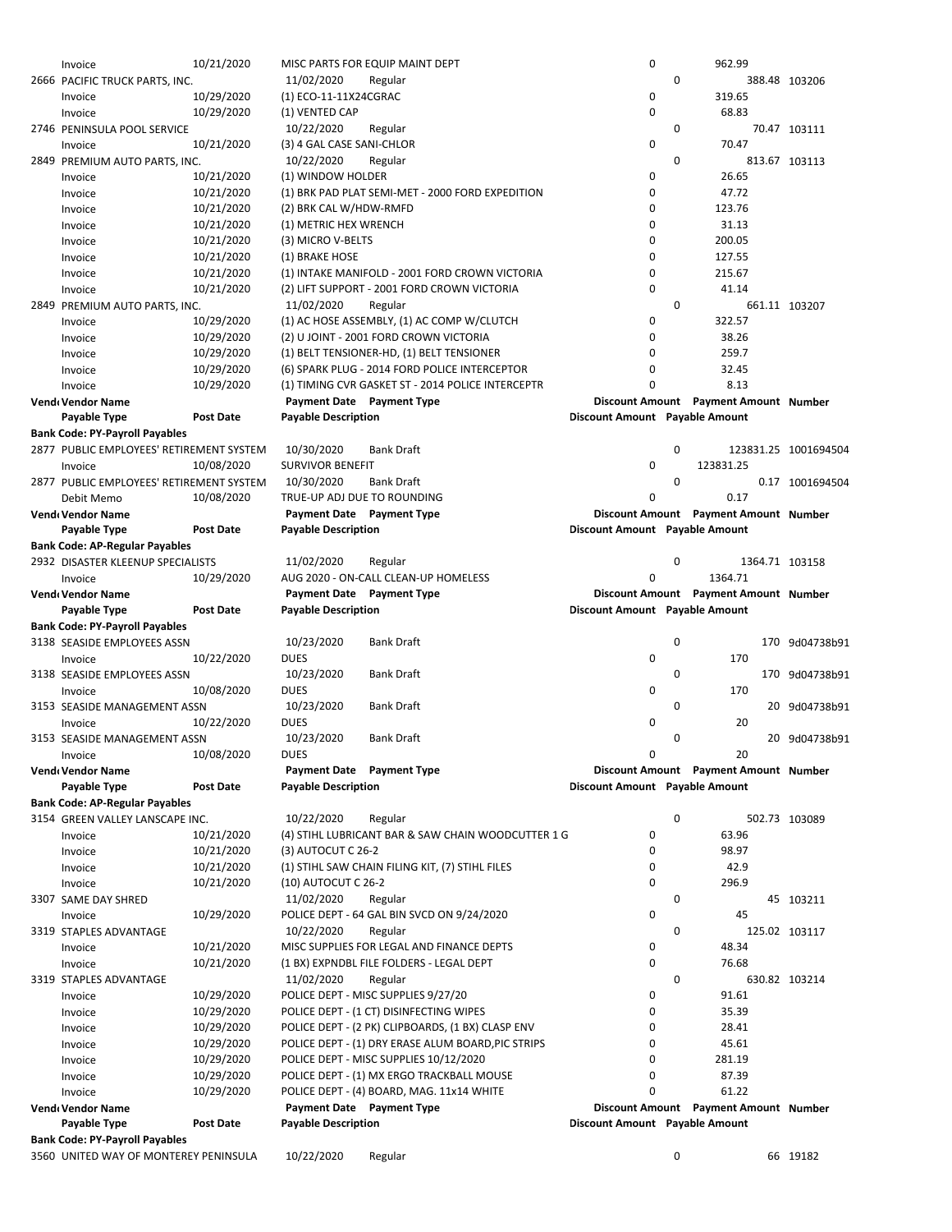| Invoice                                  | 10/21/2020               | MISC PARTS FOR EQUIP MAINT DEPT                                                     | 0                              | 962.99                                |                      |
|------------------------------------------|--------------------------|-------------------------------------------------------------------------------------|--------------------------------|---------------------------------------|----------------------|
| 2666 PACIFIC TRUCK PARTS, INC.           |                          | 11/02/2020<br>Regular                                                               | 0                              |                                       | 388.48 103206        |
| Invoice                                  | 10/29/2020               | (1) ECO-11-11X24CGRAC                                                               | 0                              | 319.65                                |                      |
| Invoice                                  | 10/29/2020               | (1) VENTED CAP                                                                      | 0                              | 68.83                                 |                      |
| 2746 PENINSULA POOL SERVICE              |                          | 10/22/2020<br>Regular                                                               | 0                              |                                       | 70.47 103111         |
| Invoice                                  | 10/21/2020               | (3) 4 GAL CASE SANI-CHLOR                                                           | $\mathbf 0$                    | 70.47                                 |                      |
| 2849 PREMIUM AUTO PARTS, INC.            |                          | 10/22/2020<br>Regular                                                               | 0                              |                                       | 813.67 103113        |
| Invoice                                  | 10/21/2020               | (1) WINDOW HOLDER                                                                   | 0                              | 26.65                                 |                      |
| Invoice                                  | 10/21/2020               | (1) BRK PAD PLAT SEMI-MET - 2000 FORD EXPEDITION                                    | 0                              | 47.72                                 |                      |
| Invoice                                  | 10/21/2020               | (2) BRK CAL W/HDW-RMFD                                                              | $\mathbf 0$                    | 123.76                                |                      |
| Invoice                                  | 10/21/2020               | (1) METRIC HEX WRENCH                                                               | 0                              | 31.13                                 |                      |
| Invoice                                  | 10/21/2020               | (3) MICRO V-BELTS                                                                   | 0                              | 200.05                                |                      |
| Invoice                                  | 10/21/2020               | (1) BRAKE HOSE                                                                      | 0                              | 127.55                                |                      |
| Invoice                                  | 10/21/2020               | (1) INTAKE MANIFOLD - 2001 FORD CROWN VICTORIA                                      | 0                              | 215.67                                |                      |
| Invoice                                  | 10/21/2020               | (2) LIFT SUPPORT - 2001 FORD CROWN VICTORIA                                         | $\mathbf 0$                    | 41.14                                 |                      |
| 2849 PREMIUM AUTO PARTS, INC.            |                          | 11/02/2020<br>Regular                                                               | 0                              |                                       | 661.11 103207        |
| Invoice                                  | 10/29/2020               | (1) AC HOSE ASSEMBLY, (1) AC COMP W/CLUTCH                                          | 0                              | 322.57                                |                      |
| Invoice                                  | 10/29/2020               | (2) U JOINT - 2001 FORD CROWN VICTORIA                                              | 0                              | 38.26                                 |                      |
| Invoice                                  | 10/29/2020               | (1) BELT TENSIONER-HD, (1) BELT TENSIONER                                           | 0                              | 259.7                                 |                      |
| Invoice                                  | 10/29/2020               | (6) SPARK PLUG - 2014 FORD POLICE INTERCEPTOR                                       | 0<br>0                         | 32.45<br>8.13                         |                      |
| Invoice                                  | 10/29/2020               | (1) TIMING CVR GASKET ST - 2014 POLICE INTERCEPTR                                   |                                |                                       |                      |
| Vend Vendor Name<br>Payable Type         | <b>Post Date</b>         | Payment Date Payment Type<br><b>Payable Description</b>                             | Discount Amount Payable Amount | Discount Amount Payment Amount Number |                      |
| <b>Bank Code: PY-Payroll Payables</b>    |                          |                                                                                     |                                |                                       |                      |
| 2877 PUBLIC EMPLOYEES' RETIREMENT SYSTEM |                          | 10/30/2020<br><b>Bank Draft</b>                                                     | 0                              |                                       | 123831.25 1001694504 |
| Invoice                                  | 10/08/2020               | <b>SURVIVOR BENEFIT</b>                                                             | 0                              | 123831.25                             |                      |
| 2877 PUBLIC EMPLOYEES' RETIREMENT SYSTEM |                          | 10/30/2020<br><b>Bank Draft</b>                                                     | 0                              |                                       | 0.17 1001694504      |
| Debit Memo                               | 10/08/2020               | TRUE-UP ADJ DUE TO ROUNDING                                                         | 0                              | 0.17                                  |                      |
| Vend Vendor Name                         |                          | Payment Date Payment Type                                                           |                                | Discount Amount Payment Amount Number |                      |
| Payable Type                             | <b>Post Date</b>         | <b>Payable Description</b>                                                          | Discount Amount Payable Amount |                                       |                      |
| <b>Bank Code: AP-Regular Payables</b>    |                          |                                                                                     |                                |                                       |                      |
| 2932 DISASTER KLEENUP SPECIALISTS        |                          | 11/02/2020<br>Regular                                                               | 0                              | 1364.71 103158                        |                      |
| Invoice                                  | 10/29/2020               | AUG 2020 - ON-CALL CLEAN-UP HOMELESS                                                | 0                              | 1364.71                               |                      |
| Vend Vendor Name                         |                          | Payment Date Payment Type                                                           |                                | Discount Amount Payment Amount Number |                      |
| Payable Type                             | <b>Post Date</b>         | <b>Payable Description</b>                                                          | Discount Amount Payable Amount |                                       |                      |
| <b>Bank Code: PY-Payroll Payables</b>    |                          |                                                                                     |                                |                                       |                      |
| 3138 SEASIDE EMPLOYEES ASSN              |                          | 10/23/2020<br><b>Bank Draft</b>                                                     | 0                              |                                       | 170 9d04738b91       |
|                                          |                          |                                                                                     |                                |                                       |                      |
| Invoice                                  | 10/22/2020               | <b>DUES</b>                                                                         | 0                              | 170                                   |                      |
| 3138 SEASIDE EMPLOYEES ASSN              |                          | 10/23/2020<br><b>Bank Draft</b>                                                     | 0                              |                                       | 170 9d04738b91       |
| Invoice                                  | 10/08/2020               | <b>DUES</b>                                                                         | $\mathbf 0$                    | 170                                   |                      |
| 3153 SEASIDE MANAGEMENT ASSN             |                          | 10/23/2020<br>Bank Draft                                                            | 0                              |                                       | 20 9d04738b91        |
| Invoice                                  | 10/22/2020               | <b>DUES</b>                                                                         | 0                              | 20                                    |                      |
| 3153 SEASIDE MANAGEMENT ASSN             |                          | 10/23/2020<br><b>Bank Draft</b>                                                     | 0                              |                                       | 20 9d04738b91        |
| Invoice                                  | 10/08/2020               | <b>DUES</b>                                                                         | 0                              | 20                                    |                      |
| Vend Vendor Name                         |                          | <b>Payment Date</b> Payment Type                                                    |                                | Discount Amount Payment Amount Number |                      |
| Payable Type                             | <b>Post Date</b>         | <b>Payable Description</b>                                                          | Discount Amount Payable Amount |                                       |                      |
| <b>Bank Code: AP-Regular Payables</b>    |                          |                                                                                     |                                |                                       |                      |
| 3154 GREEN VALLEY LANSCAPE INC.          |                          | 10/22/2020<br>Regular                                                               | 0                              |                                       | 502.73 103089        |
| Invoice                                  | 10/21/2020               | (4) STIHL LUBRICANT BAR & SAW CHAIN WOODCUTTER 1 G                                  | $\mathbf 0$                    | 63.96                                 |                      |
| Invoice                                  | 10/21/2020               | (3) AUTOCUT C 26-2                                                                  | 0                              | 98.97                                 |                      |
| Invoice                                  | 10/21/2020               | (1) STIHL SAW CHAIN FILING KIT, (7) STIHL FILES                                     | 0                              | 42.9                                  |                      |
| Invoice                                  | 10/21/2020               | (10) AUTOCUT C 26-2                                                                 | 0                              | 296.9                                 |                      |
| 3307 SAME DAY SHRED                      |                          | 11/02/2020<br>Regular                                                               | 0                              |                                       | 45 103211            |
| Invoice                                  | 10/29/2020               | POLICE DEPT - 64 GAL BIN SVCD ON 9/24/2020                                          | 0                              | 45                                    |                      |
| 3319 STAPLES ADVANTAGE                   |                          | 10/22/2020<br>Regular                                                               | 0                              |                                       | 125.02 103117        |
| Invoice                                  | 10/21/2020               | MISC SUPPLIES FOR LEGAL AND FINANCE DEPTS                                           | 0                              | 48.34                                 |                      |
| Invoice                                  | 10/21/2020               | (1 BX) EXPNDBL FILE FOLDERS - LEGAL DEPT                                            | $\mathbf 0$                    | 76.68                                 |                      |
| 3319 STAPLES ADVANTAGE                   |                          | 11/02/2020<br>Regular                                                               | 0                              |                                       | 630.82 103214        |
| Invoice                                  | 10/29/2020               | POLICE DEPT - MISC SUPPLIES 9/27/20                                                 | 0<br>0                         | 91.61                                 |                      |
| Invoice                                  | 10/29/2020               | POLICE DEPT - (1 CT) DISINFECTING WIPES                                             | 0                              | 35.39                                 |                      |
| Invoice                                  | 10/29/2020               | POLICE DEPT - (2 PK) CLIPBOARDS, (1 BX) CLASP ENV                                   | 0                              | 28.41                                 |                      |
| Invoice                                  | 10/29/2020               | POLICE DEPT - (1) DRY ERASE ALUM BOARD, PIC STRIPS                                  | 0                              | 45.61<br>281.19                       |                      |
| Invoice                                  | 10/29/2020<br>10/29/2020 | POLICE DEPT - MISC SUPPLIES 10/12/2020<br>POLICE DEPT - (1) MX ERGO TRACKBALL MOUSE | 0                              | 87.39                                 |                      |
| Invoice<br>Invoice                       | 10/29/2020               | POLICE DEPT - (4) BOARD, MAG. 11x14 WHITE                                           | 0                              | 61.22                                 |                      |
| Vend Vendor Name                         |                          | Payment Date Payment Type                                                           |                                | Discount Amount Payment Amount Number |                      |
| Payable Type                             | <b>Post Date</b>         | <b>Payable Description</b>                                                          | Discount Amount Payable Amount |                                       |                      |
| <b>Bank Code: PY-Payroll Payables</b>    |                          |                                                                                     |                                |                                       |                      |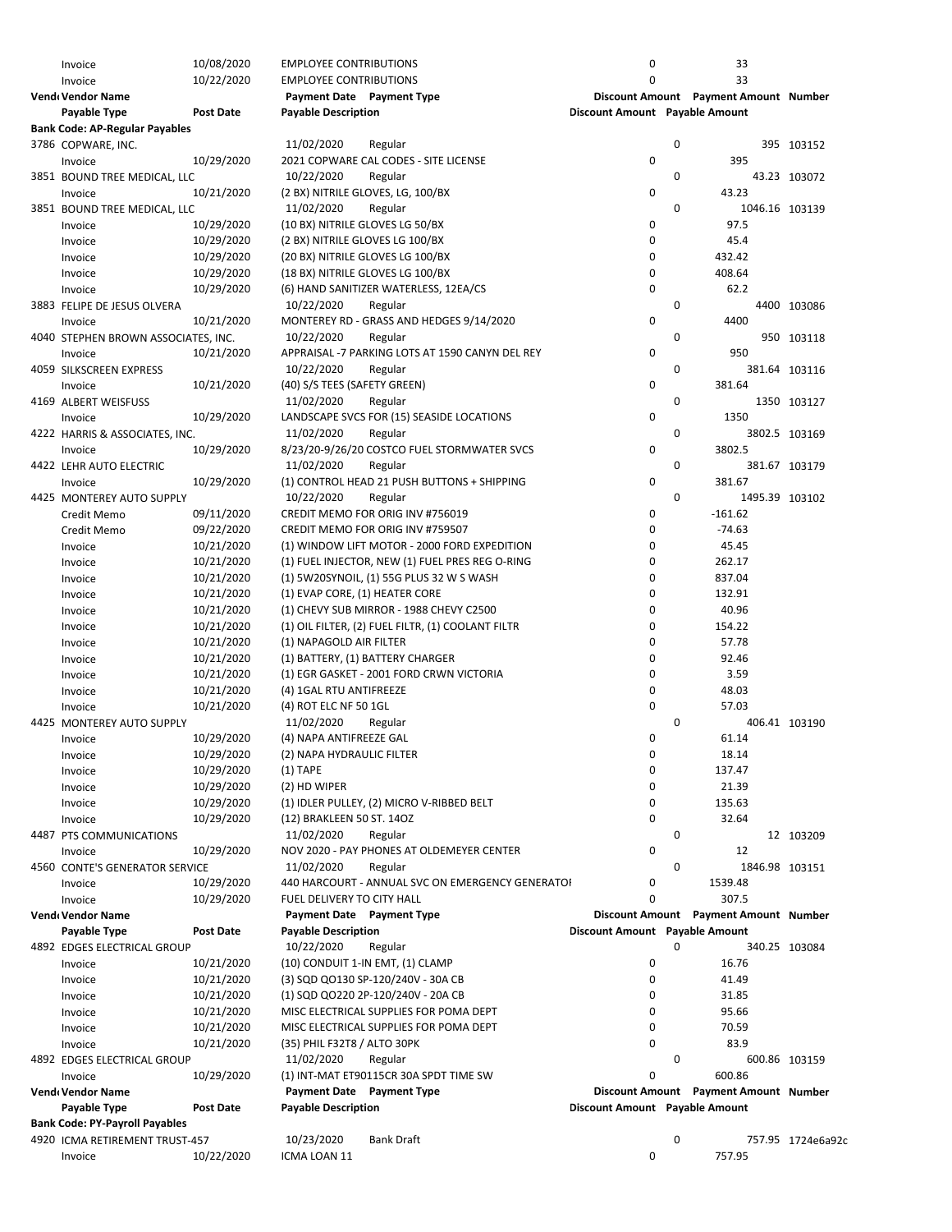| Invoice                               | 10/08/2020       | <b>EMPLOYEE CONTRIBUTIONS</b> |                                                   | 0                              |   | 33                                    |                   |
|---------------------------------------|------------------|-------------------------------|---------------------------------------------------|--------------------------------|---|---------------------------------------|-------------------|
| Invoice                               | 10/22/2020       | <b>EMPLOYEE CONTRIBUTIONS</b> |                                                   | $\mathbf 0$                    |   | 33                                    |                   |
| Vendı Vendor Name                     |                  |                               | Payment Date Payment Type                         |                                |   | Discount Amount Payment Amount Number |                   |
|                                       | <b>Post Date</b> | <b>Payable Description</b>    |                                                   |                                |   |                                       |                   |
| Payable Type                          |                  |                               |                                                   | Discount Amount Payable Amount |   |                                       |                   |
| <b>Bank Code: AP-Regular Payables</b> |                  |                               |                                                   |                                |   |                                       |                   |
| 3786 COPWARE, INC.                    |                  | 11/02/2020                    | Regular                                           |                                | 0 |                                       | 395 103152        |
| Invoice                               | 10/29/2020       |                               | 2021 COPWARE CAL CODES - SITE LICENSE             | 0                              |   | 395                                   |                   |
| 3851 BOUND TREE MEDICAL, LLC          |                  | 10/22/2020                    | Regular                                           |                                | 0 |                                       | 43.23 103072      |
| Invoice                               | 10/21/2020       |                               | (2 BX) NITRILE GLOVES, LG, 100/BX                 | 0                              |   | 43.23                                 |                   |
| 3851 BOUND TREE MEDICAL, LLC          |                  | 11/02/2020                    | Regular                                           |                                | 0 |                                       | 1046.16 103139    |
| Invoice                               | 10/29/2020       |                               | (10 BX) NITRILE GLOVES LG 50/BX                   | 0                              |   | 97.5                                  |                   |
| Invoice                               | 10/29/2020       |                               | (2 BX) NITRILE GLOVES LG 100/BX                   | 0                              |   | 45.4                                  |                   |
| Invoice                               | 10/29/2020       |                               | (20 BX) NITRILE GLOVES LG 100/BX                  | 0                              |   | 432.42                                |                   |
| Invoice                               | 10/29/2020       |                               | (18 BX) NITRILE GLOVES LG 100/BX                  | 0                              |   | 408.64                                |                   |
|                                       | 10/29/2020       |                               | (6) HAND SANITIZER WATERLESS, 12EA/CS             | 0                              |   | 62.2                                  |                   |
| Invoice                               |                  |                               |                                                   |                                |   |                                       |                   |
| 3883 FELIPE DE JESUS OLVERA           |                  | 10/22/2020                    | Regular                                           |                                | 0 |                                       | 4400 103086       |
| Invoice                               | 10/21/2020       |                               | MONTEREY RD - GRASS AND HEDGES 9/14/2020          | 0                              |   | 4400                                  |                   |
| 4040 STEPHEN BROWN ASSOCIATES, INC.   |                  | 10/22/2020                    | Regular                                           |                                | 0 |                                       | 950 103118        |
| Invoice                               | 10/21/2020       |                               | APPRAISAL -7 PARKING LOTS AT 1590 CANYN DEL REY   | 0                              |   | 950                                   |                   |
| 4059 SILKSCREEN EXPRESS               |                  | 10/22/2020                    | Regular                                           |                                | 0 |                                       | 381.64 103116     |
| Invoice                               | 10/21/2020       | (40) S/S TEES (SAFETY GREEN)  |                                                   | 0                              |   | 381.64                                |                   |
| 4169 ALBERT WEISFUSS                  |                  | 11/02/2020                    | Regular                                           |                                | 0 |                                       | 1350 103127       |
| Invoice                               | 10/29/2020       |                               | LANDSCAPE SVCS FOR (15) SEASIDE LOCATIONS         | 0                              |   | 1350                                  |                   |
| 4222 HARRIS & ASSOCIATES, INC.        |                  | 11/02/2020                    | Regular                                           |                                | 0 |                                       | 3802.5 103169     |
| Invoice                               | 10/29/2020       |                               | 8/23/20-9/26/20 COSTCO FUEL STORMWATER SVCS       | 0                              |   | 3802.5                                |                   |
| 4422 LEHR AUTO ELECTRIC               |                  | 11/02/2020                    | Regular                                           |                                | 0 |                                       | 381.67 103179     |
| Invoice                               | 10/29/2020       |                               | (1) CONTROL HEAD 21 PUSH BUTTONS + SHIPPING       | 0                              |   | 381.67                                |                   |
|                                       |                  |                               | Regular                                           |                                | 0 |                                       | 1495.39 103102    |
| 4425 MONTEREY AUTO SUPPLY             |                  | 10/22/2020                    |                                                   |                                |   |                                       |                   |
| Credit Memo                           | 09/11/2020       |                               | CREDIT MEMO FOR ORIG INV #756019                  | 0                              |   | $-161.62$                             |                   |
| Credit Memo                           | 09/22/2020       |                               | CREDIT MEMO FOR ORIG INV #759507                  | 0                              |   | $-74.63$                              |                   |
| Invoice                               | 10/21/2020       |                               | (1) WINDOW LIFT MOTOR - 2000 FORD EXPEDITION      | 0                              |   | 45.45                                 |                   |
| Invoice                               | 10/21/2020       |                               | (1) FUEL INJECTOR, NEW (1) FUEL PRES REG O-RING   | 0                              |   | 262.17                                |                   |
| Invoice                               | 10/21/2020       |                               | (1) 5W20SYNOIL, (1) 55G PLUS 32 W S WASH          | 0                              |   | 837.04                                |                   |
| Invoice                               | 10/21/2020       |                               | (1) EVAP CORE, (1) HEATER CORE                    | 0                              |   | 132.91                                |                   |
| Invoice                               | 10/21/2020       |                               | (1) CHEVY SUB MIRROR - 1988 CHEVY C2500           | 0                              |   | 40.96                                 |                   |
| Invoice                               | 10/21/2020       |                               | (1) OIL FILTER, (2) FUEL FILTR, (1) COOLANT FILTR | 0                              |   | 154.22                                |                   |
| Invoice                               | 10/21/2020       | (1) NAPAGOLD AIR FILTER       |                                                   | 0                              |   | 57.78                                 |                   |
| Invoice                               | 10/21/2020       |                               | (1) BATTERY, (1) BATTERY CHARGER                  | 0                              |   | 92.46                                 |                   |
|                                       | 10/21/2020       |                               | (1) EGR GASKET - 2001 FORD CRWN VICTORIA          | 0                              |   | 3.59                                  |                   |
| Invoice                               |                  |                               |                                                   | 0                              |   |                                       |                   |
| Invoice                               | 10/21/2020       | (4) 1GAL RTU ANTIFREEZE       |                                                   |                                |   | 48.03                                 |                   |
| Invoice                               | 10/21/2020       | (4) ROT ELC NF 50 1GL         |                                                   | 0                              |   | 57.03                                 |                   |
| 4425 MONTEREY AUTO SUPPLY             |                  | 11/02/2020                    | Regular                                           |                                | 0 |                                       | 406.41 103190     |
| Invoice                               | 10/29/2020       | (4) NAPA ANTIFREEZE GAL       |                                                   | 0                              |   | 61.14                                 |                   |
| Invoice                               | 10/29/2020       | (2) NAPA HYDRAULIC FILTER     |                                                   | 0                              |   | 18.14                                 |                   |
| Invoice                               | 10/29/2020       | $(1)$ TAPE                    |                                                   | 0                              |   | 137.47                                |                   |
| Invoice                               | 10/29/2020       | (2) HD WIPER                  |                                                   | 0                              |   | 21.39                                 |                   |
| Invoice                               | 10/29/2020       |                               | (1) IDLER PULLEY, (2) MICRO V-RIBBED BELT         | 0                              |   | 135.63                                |                   |
| Invoice                               | 10/29/2020       | (12) BRAKLEEN 50 ST. 14OZ     |                                                   | 0                              |   | 32.64                                 |                   |
| 4487 PTS COMMUNICATIONS               |                  | 11/02/2020                    | Regular                                           |                                | 0 |                                       | 12 103209         |
| Invoice                               | 10/29/2020       |                               | NOV 2020 - PAY PHONES AT OLDEMEYER CENTER         | 0                              |   | 12                                    |                   |
| 4560 CONTE'S GENERATOR SERVICE        |                  | 11/02/2020                    | Regular                                           |                                | 0 |                                       | 1846.98 103151    |
|                                       | 10/29/2020       |                               | 440 HARCOURT - ANNUAL SVC ON EMERGENCY GENERATOI  | 0                              |   | 1539.48                               |                   |
| Invoice                               |                  |                               |                                                   | 0                              |   |                                       |                   |
| Invoice                               | 10/29/2020       | FUEL DELIVERY TO CITY HALL    |                                                   |                                |   | 307.5                                 |                   |
| Vendı Vendor Name                     |                  |                               | Payment Date Payment Type                         |                                |   | Discount Amount Payment Amount Number |                   |
| Payable Type                          | <b>Post Date</b> | <b>Payable Description</b>    |                                                   | Discount Amount Payable Amount |   |                                       |                   |
| 4892 EDGES ELECTRICAL GROUP           |                  | 10/22/2020                    | Regular                                           |                                | 0 |                                       | 340.25 103084     |
| Invoice                               | 10/21/2020       |                               | (10) CONDUIT 1-IN EMT, (1) CLAMP                  | 0                              |   | 16.76                                 |                   |
| Invoice                               | 10/21/2020       |                               | (3) SQD QO130 SP-120/240V - 30A CB                | 0                              |   | 41.49                                 |                   |
| Invoice                               | 10/21/2020       |                               | (1) SQD QO220 2P-120/240V - 20A CB                | 0                              |   | 31.85                                 |                   |
| Invoice                               | 10/21/2020       |                               | MISC ELECTRICAL SUPPLIES FOR POMA DEPT            | 0                              |   | 95.66                                 |                   |
| Invoice                               | 10/21/2020       |                               | MISC ELECTRICAL SUPPLIES FOR POMA DEPT            | 0                              |   | 70.59                                 |                   |
| Invoice                               | 10/21/2020       | (35) PHIL F32T8 / ALTO 30PK   |                                                   | 0                              |   | 83.9                                  |                   |
| 4892 EDGES ELECTRICAL GROUP           |                  | 11/02/2020                    | Regular                                           |                                | 0 |                                       | 600.86 103159     |
|                                       | 10/29/2020       |                               | (1) INT-MAT ET90115CR 30A SPDT TIME SW            | 0                              |   | 600.86                                |                   |
| Invoice                               |                  |                               |                                                   |                                |   |                                       |                   |
| Vendı Vendor Name                     |                  |                               | Payment Date Payment Type                         |                                |   | Discount Amount Payment Amount Number |                   |
| Payable Type                          | <b>Post Date</b> | <b>Payable Description</b>    |                                                   | Discount Amount Payable Amount |   |                                       |                   |
| <b>Bank Code: PY-Payroll Payables</b> |                  |                               |                                                   |                                |   |                                       |                   |
| 4920 ICMA RETIREMENT TRUST-457        |                  | 10/23/2020                    | <b>Bank Draft</b>                                 |                                | 0 |                                       | 757.95 1724e6a92c |
| Invoice                               | 10/22/2020       | ICMA LOAN 11                  |                                                   | 0                              |   | 757.95                                |                   |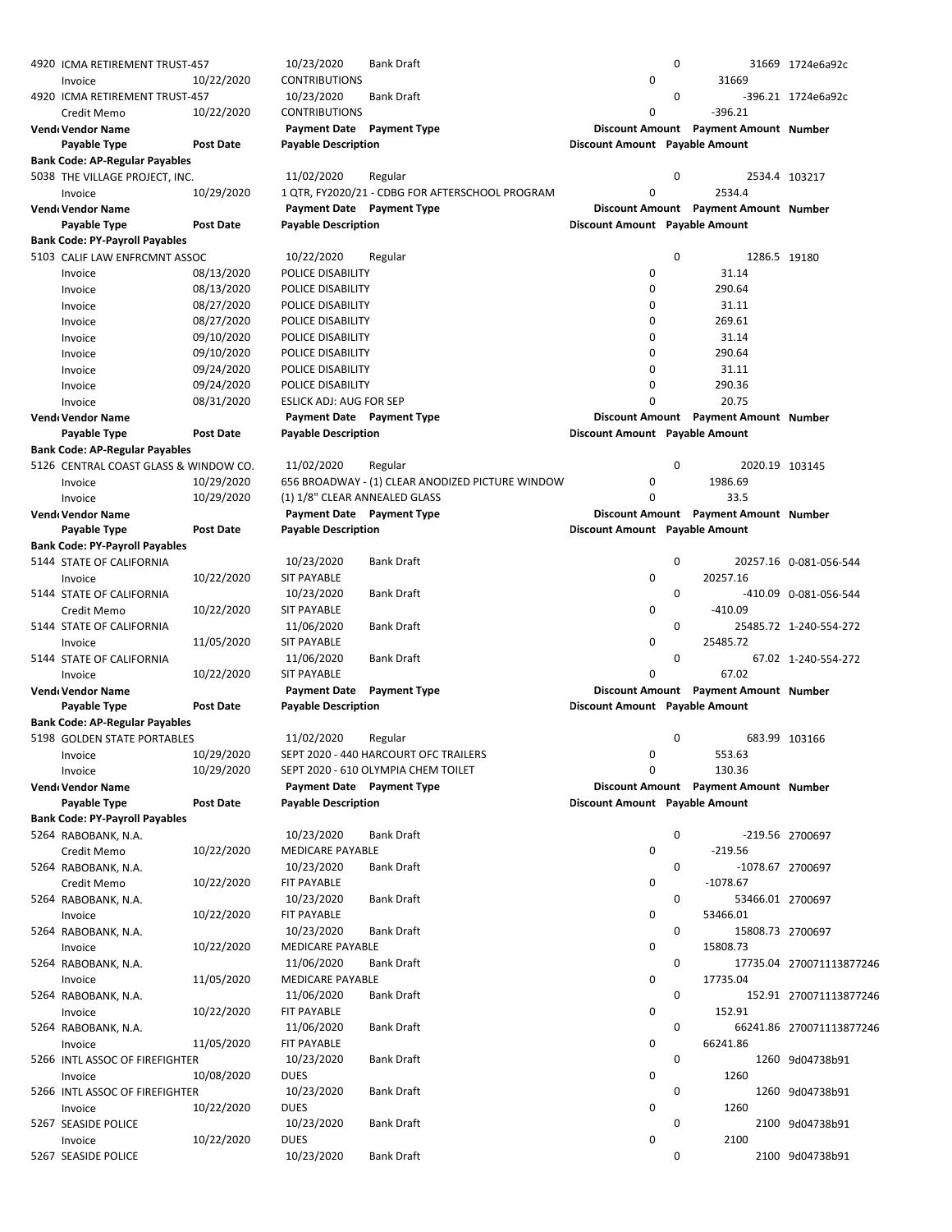| 4920 ICMA RETIREMENT TRUST-457        |                  | 10/23/2020                    | Bank Draft                                       |                                | 0           |                                       | 31669 1724e6a92c         |
|---------------------------------------|------------------|-------------------------------|--------------------------------------------------|--------------------------------|-------------|---------------------------------------|--------------------------|
| Invoice                               | 10/22/2020       | <b>CONTRIBUTIONS</b>          |                                                  | 0                              |             | 31669                                 |                          |
| 4920 ICMA RETIREMENT TRUST-457        |                  | 10/23/2020                    | <b>Bank Draft</b>                                |                                | 0           |                                       | -396.21 1724e6a92c       |
| Credit Memo                           | 10/22/2020       | <b>CONTRIBUTIONS</b>          |                                                  | 0                              |             | $-396.21$                             |                          |
| Vendı Vendor Name                     |                  | Payment Date Payment Type     |                                                  |                                |             | Discount Amount Payment Amount Number |                          |
| Payable Type                          | <b>Post Date</b> | <b>Payable Description</b>    |                                                  | Discount Amount Payable Amount |             |                                       |                          |
| <b>Bank Code: AP-Regular Payables</b> |                  |                               |                                                  |                                |             |                                       |                          |
| 5038 THE VILLAGE PROJECT, INC.        |                  | 11/02/2020                    | Regular                                          |                                | 0           |                                       | 2534.4 103217            |
| Invoice                               | 10/29/2020       |                               | 1 QTR, FY2020/21 - CDBG FOR AFTERSCHOOL PROGRAM  | 0                              |             | 2534.4                                |                          |
| Vendı Vendor Name                     |                  | Payment Date Payment Type     |                                                  |                                |             | Discount Amount Payment Amount Number |                          |
| Payable Type                          | <b>Post Date</b> | <b>Payable Description</b>    |                                                  | Discount Amount Payable Amount |             |                                       |                          |
| <b>Bank Code: PY-Payroll Payables</b> |                  |                               |                                                  |                                |             |                                       |                          |
| 5103 CALIF LAW ENFRCMNT ASSOC         |                  | 10/22/2020                    | Regular                                          |                                | $\mathbf 0$ | 1286.5 19180                          |                          |
|                                       | 08/13/2020       |                               |                                                  | 0                              |             | 31.14                                 |                          |
| Invoice                               |                  | POLICE DISABILITY             |                                                  | 0                              |             | 290.64                                |                          |
| Invoice                               | 08/13/2020       | POLICE DISABILITY             |                                                  |                                |             |                                       |                          |
| Invoice                               | 08/27/2020       | POLICE DISABILITY             |                                                  | 0                              |             | 31.11                                 |                          |
| Invoice                               | 08/27/2020       | POLICE DISABILITY             |                                                  | 0                              |             | 269.61                                |                          |
| Invoice                               | 09/10/2020       | POLICE DISABILITY             |                                                  | 0                              |             | 31.14                                 |                          |
| Invoice                               | 09/10/2020       | POLICE DISABILITY             |                                                  | 0                              |             | 290.64                                |                          |
| Invoice                               | 09/24/2020       | POLICE DISABILITY             |                                                  | 0                              |             | 31.11                                 |                          |
| Invoice                               | 09/24/2020       | POLICE DISABILITY             |                                                  | 0                              |             | 290.36                                |                          |
| Invoice                               | 08/31/2020       | ESLICK ADJ: AUG FOR SEP       |                                                  | 0                              |             | 20.75                                 |                          |
| Vendı Vendor Name                     |                  | Payment Date Payment Type     |                                                  |                                |             | Discount Amount Payment Amount Number |                          |
| Payable Type                          | <b>Post Date</b> | <b>Payable Description</b>    |                                                  | Discount Amount Payable Amount |             |                                       |                          |
| <b>Bank Code: AP-Regular Payables</b> |                  |                               |                                                  |                                |             |                                       |                          |
| 5126 CENTRAL COAST GLASS & WINDOW CO. |                  | 11/02/2020                    | Regular                                          |                                | $\mathbf 0$ | 2020.19 103145                        |                          |
| Invoice                               | 10/29/2020       |                               | 656 BROADWAY - (1) CLEAR ANODIZED PICTURE WINDOW | 0                              |             | 1986.69                               |                          |
| Invoice                               | 10/29/2020       | (1) 1/8" CLEAR ANNEALED GLASS |                                                  | 0                              |             | 33.5                                  |                          |
| Vendı Vendor Name                     |                  | Payment Date Payment Type     |                                                  |                                |             | Discount Amount Payment Amount Number |                          |
| Payable Type                          | <b>Post Date</b> | <b>Payable Description</b>    |                                                  | Discount Amount Payable Amount |             |                                       |                          |
| Bank Code: PY-Payroll Payables        |                  |                               |                                                  |                                |             |                                       |                          |
| 5144 STATE OF CALIFORNIA              |                  | 10/23/2020                    | Bank Draft                                       |                                | 0           |                                       | 20257.16 0-081-056-544   |
| Invoice                               | 10/22/2020       | <b>SIT PAYABLE</b>            |                                                  | 0                              |             | 20257.16                              |                          |
| 5144 STATE OF CALIFORNIA              |                  | 10/23/2020                    | Bank Draft                                       |                                | 0           |                                       | -410.09 0-081-056-544    |
| Credit Memo                           | 10/22/2020       | SIT PAYABLE                   |                                                  | 0                              |             | $-410.09$                             |                          |
| 5144 STATE OF CALIFORNIA              |                  | 11/06/2020                    | <b>Bank Draft</b>                                |                                | 0           |                                       | 25485.72 1-240-554-272   |
| Invoice                               | 11/05/2020       | <b>SIT PAYABLE</b>            |                                                  | 0                              |             | 25485.72                              |                          |
| 5144 STATE OF CALIFORNIA              |                  | 11/06/2020                    | <b>Bank Draft</b>                                |                                | 0           |                                       | 67.02 1-240-554-272      |
| Invoice                               | 10/22/2020       | <b>SIT PAYABLE</b>            |                                                  | 0                              |             | 67.02                                 |                          |
| Vendı Vendor Name                     |                  | <b>Payment Date</b>           | <b>Payment Type</b>                              |                                |             | Discount Amount Payment Amount Number |                          |
| Payable Type                          | <b>Post Date</b> | <b>Payable Description</b>    |                                                  | Discount Amount Payable Amount |             |                                       |                          |
| <b>Bank Code: AP-Regular Payables</b> |                  |                               |                                                  |                                |             |                                       |                          |
| 5198 GOLDEN STATE PORTABLES           |                  | 11/02/2020                    | Regular                                          |                                | 0           |                                       | 683.99 103166            |
| Invoice                               | 10/29/2020       |                               | SEPT 2020 - 440 HARCOURT OFC TRAILERS            | 0                              |             | 553.63                                |                          |
| Invoice                               | 10/29/2020       |                               | SEPT 2020 - 610 OLYMPIA CHEM TOILET              | 0                              |             | 130.36                                |                          |
| Vend Vendor Name                      |                  | Payment Date Payment Type     |                                                  |                                |             | Discount Amount Payment Amount Number |                          |
| Payable Type                          | <b>Post Date</b> | <b>Payable Description</b>    |                                                  | Discount Amount Payable Amount |             |                                       |                          |
| <b>Bank Code: PY-Payroll Payables</b> |                  |                               |                                                  |                                |             |                                       |                          |
| 5264 RABOBANK, N.A.                   |                  | 10/23/2020                    | <b>Bank Draft</b>                                |                                | 0           |                                       | -219.56 2700697          |
| Credit Memo                           | 10/22/2020       | MEDICARE PAYABLE              |                                                  | 0                              |             | $-219.56$                             |                          |
| 5264 RABOBANK, N.A.                   |                  | 10/23/2020                    | Bank Draft                                       |                                | 0           | -1078.67 2700697                      |                          |
| Credit Memo                           | 10/22/2020       | FIT PAYABLE                   |                                                  | 0                              |             | $-1078.67$                            |                          |
|                                       |                  | 10/23/2020                    | Bank Draft                                       |                                | 0           |                                       |                          |
| 5264 RABOBANK, N.A.                   | 10/22/2020       | FIT PAYABLE                   |                                                  | 0                              |             | 53466.01 2700697<br>53466.01          |                          |
| Invoice                               |                  |                               |                                                  |                                |             |                                       |                          |
| 5264 RABOBANK, N.A.                   |                  | 10/23/2020                    | <b>Bank Draft</b>                                |                                | 0           | 15808.73 2700697<br>15808.73          |                          |
| Invoice                               | 10/22/2020       | MEDICARE PAYABLE              |                                                  | 0                              |             |                                       |                          |
| 5264 RABOBANK, N.A.                   |                  | 11/06/2020                    | Bank Draft                                       |                                | 0           |                                       | 17735.04 270071113877246 |
| Invoice                               | 11/05/2020       | MEDICARE PAYABLE              |                                                  | 0                              |             | 17735.04                              |                          |
| 5264 RABOBANK, N.A.                   |                  | 11/06/2020                    | Bank Draft                                       |                                | 0           |                                       | 152.91 270071113877246   |
| Invoice                               | 10/22/2020       | FIT PAYABLE                   |                                                  | 0                              |             | 152.91                                |                          |
| 5264 RABOBANK, N.A.                   |                  | 11/06/2020                    | <b>Bank Draft</b>                                |                                | 0           |                                       | 66241.86 270071113877246 |
| Invoice                               | 11/05/2020       | FIT PAYABLE                   |                                                  | 0                              |             | 66241.86                              |                          |
| 5266 INTL ASSOC OF FIREFIGHTER        |                  | 10/23/2020                    | Bank Draft                                       |                                | 0           |                                       | 1260 9d04738b91          |
| Invoice                               | 10/08/2020       | <b>DUES</b>                   |                                                  | 0                              |             | 1260                                  |                          |
| 5266 INTL ASSOC OF FIREFIGHTER        |                  | 10/23/2020                    | Bank Draft                                       |                                | 0           |                                       | 1260 9d04738b91          |
| Invoice                               | 10/22/2020       | <b>DUES</b>                   |                                                  | 0                              |             | 1260                                  |                          |
| 5267 SEASIDE POLICE                   |                  | 10/23/2020                    | Bank Draft                                       |                                | 0           |                                       | 2100 9d04738b91          |
| Invoice                               | 10/22/2020       | <b>DUES</b>                   |                                                  | 0                              |             | 2100                                  |                          |
| 5267 SEASIDE POLICE                   |                  | 10/23/2020                    | <b>Bank Draft</b>                                |                                | 0           |                                       | 2100 9d04738b91          |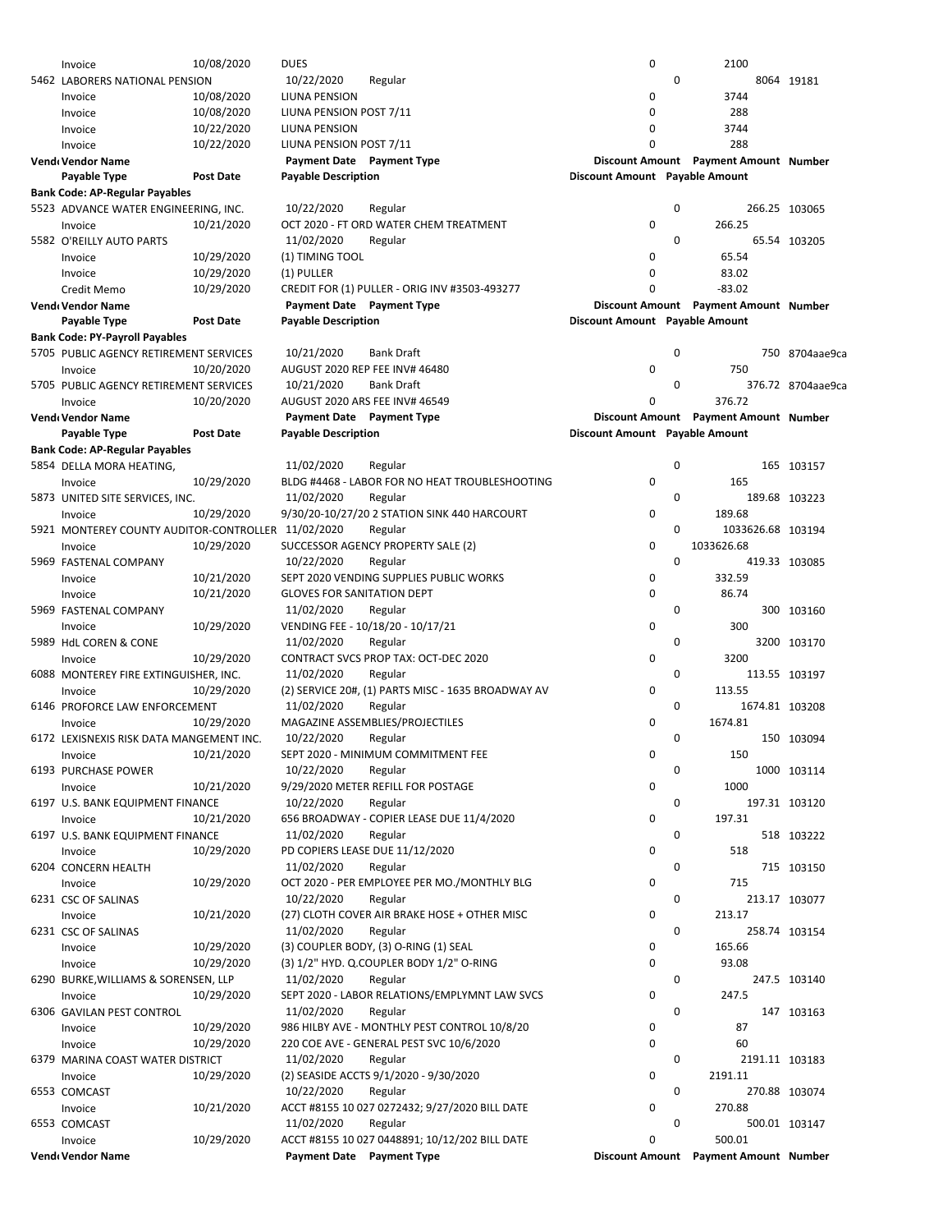| Invoice                                            | 10/08/2020       | <b>DUES</b>                       |                                                    | 0                              |   | 2100                                  |                   |
|----------------------------------------------------|------------------|-----------------------------------|----------------------------------------------------|--------------------------------|---|---------------------------------------|-------------------|
| 5462 LABORERS NATIONAL PENSION                     |                  | 10/22/2020                        | Regular                                            |                                | 0 |                                       | 8064 19181        |
| Invoice                                            | 10/08/2020       | LIUNA PENSION                     |                                                    | 0                              |   | 3744                                  |                   |
| Invoice                                            | 10/08/2020       | LIUNA PENSION POST 7/11           |                                                    | 0                              |   | 288                                   |                   |
| Invoice                                            | 10/22/2020       | LIUNA PENSION                     |                                                    | 0                              |   | 3744                                  |                   |
| Invoice                                            | 10/22/2020       | LIUNA PENSION POST 7/11           |                                                    | 0                              |   | 288                                   |                   |
| Vendı Vendor Name                                  |                  | <b>Payment Date</b> Payment Type  |                                                    |                                |   | Discount Amount Payment Amount Number |                   |
| Payable Type                                       | <b>Post Date</b> | <b>Payable Description</b>        |                                                    | Discount Amount Payable Amount |   |                                       |                   |
| Bank Code: AP-Regular Payables                     |                  |                                   |                                                    |                                |   |                                       |                   |
| 5523 ADVANCE WATER ENGINEERING, INC.               |                  | 10/22/2020                        | Regular                                            |                                | 0 |                                       | 266.25 103065     |
| Invoice                                            | 10/21/2020       |                                   | OCT 2020 - FT ORD WATER CHEM TREATMENT             | 0                              |   | 266.25                                |                   |
| 5582 O'REILLY AUTO PARTS                           |                  | 11/02/2020                        | Regular                                            |                                | 0 |                                       | 65.54 103205      |
| Invoice                                            | 10/29/2020       | (1) TIMING TOOL                   |                                                    | 0                              |   | 65.54                                 |                   |
| Invoice                                            | 10/29/2020       | (1) PULLER                        |                                                    | 0                              |   | 83.02                                 |                   |
| Credit Memo                                        | 10/29/2020       |                                   | CREDIT FOR (1) PULLER - ORIG INV #3503-493277      | 0                              |   | $-83.02$                              |                   |
| Vendı Vendor Name                                  |                  | Payment Date Payment Type         |                                                    |                                |   | Discount Amount Payment Amount Number |                   |
| Payable Type                                       | <b>Post Date</b> | <b>Payable Description</b>        |                                                    | Discount Amount Payable Amount |   |                                       |                   |
| <b>Bank Code: PY-Payroll Payables</b>              |                  |                                   |                                                    |                                |   |                                       |                   |
| 5705 PUBLIC AGENCY RETIREMENT SERVICES             |                  | 10/21/2020                        | <b>Bank Draft</b>                                  |                                | 0 |                                       | 750 8704aae9ca    |
| Invoice                                            | 10/20/2020       |                                   | AUGUST 2020 REP FEE INV# 46480                     | 0                              |   | 750                                   |                   |
| 5705 PUBLIC AGENCY RETIREMENT SERVICES             |                  | 10/21/2020                        | <b>Bank Draft</b>                                  |                                | 0 |                                       | 376.72 8704aae9ca |
| Invoice                                            | 10/20/2020       |                                   | AUGUST 2020 ARS FEE INV# 46549                     | 0                              |   | 376.72                                |                   |
| <b>Vend</b> Vendor Name                            |                  | Payment Date Payment Type         |                                                    |                                |   | Discount Amount Payment Amount Number |                   |
| Payable Type                                       | <b>Post Date</b> | <b>Payable Description</b>        |                                                    | Discount Amount Payable Amount |   |                                       |                   |
|                                                    |                  |                                   |                                                    |                                |   |                                       |                   |
| <b>Bank Code: AP-Regular Payables</b>              |                  |                                   |                                                    |                                |   |                                       |                   |
| 5854 DELLA MORA HEATING,                           |                  | 11/02/2020                        | Regular                                            |                                | 0 |                                       | 165 103157        |
| Invoice                                            | 10/29/2020       |                                   | BLDG #4468 - LABOR FOR NO HEAT TROUBLESHOOTING     | 0                              |   | 165                                   |                   |
| 5873 UNITED SITE SERVICES, INC.                    |                  | 11/02/2020                        | Regular                                            |                                | 0 | 189.68 103223                         |                   |
| Invoice                                            | 10/29/2020       |                                   | 9/30/20-10/27/20 2 STATION SINK 440 HARCOURT       | 0                              |   | 189.68                                |                   |
| 5921 MONTEREY COUNTY AUDITOR-CONTROLLER 11/02/2020 |                  |                                   | Regular                                            |                                | 0 | 1033626.68 103194                     |                   |
| Invoice                                            | 10/29/2020       |                                   | SUCCESSOR AGENCY PROPERTY SALE (2)                 | 0                              |   | 1033626.68                            |                   |
| 5969 FASTENAL COMPANY                              |                  | 10/22/2020                        | Regular                                            |                                | 0 |                                       | 419.33 103085     |
| Invoice                                            | 10/21/2020       |                                   | SEPT 2020 VENDING SUPPLIES PUBLIC WORKS            | 0                              |   | 332.59                                |                   |
| Invoice                                            | 10/21/2020       | <b>GLOVES FOR SANITATION DEPT</b> |                                                    | 0                              |   | 86.74                                 |                   |
| 5969 FASTENAL COMPANY                              |                  | 11/02/2020                        | Regular                                            |                                | 0 |                                       | 300 103160        |
| Invoice                                            | 10/29/2020       |                                   | VENDING FEE - 10/18/20 - 10/17/21                  | 0                              |   | 300                                   |                   |
| 5989 HdL COREN & CONE                              |                  | 11/02/2020                        | Regular                                            |                                | 0 |                                       | 3200 103170       |
| Invoice                                            | 10/29/2020       |                                   | CONTRACT SVCS PROP TAX: OCT-DEC 2020               | 0                              |   | 3200                                  |                   |
| 6088 MONTEREY FIRE EXTINGUISHER, INC.              |                  | 11/02/2020                        | Regular                                            |                                | 0 |                                       | 113.55 103197     |
| Invoice                                            | 10/29/2020       |                                   | (2) SERVICE 20#, (1) PARTS MISC - 1635 BROADWAY AV | 0                              |   | 113.55                                |                   |
| 6146 PROFORCE LAW ENFORCEMENT                      |                  | 11/02/2020                        | Regular                                            |                                | 0 | 1674.81 103208                        |                   |
| Invoice                                            | 10/29/2020       |                                   | MAGAZINE ASSEMBLIES/PROJECTILES                    | 0                              |   | 1674.81                               |                   |
| 6172 LEXISNEXIS RISK DATA MANGEMENT INC.           |                  | 10/22/2020                        | Regular                                            |                                | 0 |                                       | 150 103094        |
| Invoice                                            | 10/21/2020       |                                   | SEPT 2020 - MINIMUM COMMITMENT FEE                 | 0                              |   | 150                                   |                   |
| 6193 PURCHASE POWER                                |                  | 10/22/2020                        | Regular                                            |                                | 0 |                                       | 1000 103114       |
| Invoice                                            | 10/21/2020       |                                   | 9/29/2020 METER REFILL FOR POSTAGE                 | 0                              |   | 1000                                  |                   |
| 6197 U.S. BANK EQUIPMENT FINANCE                   |                  | 10/22/2020                        | Regular                                            |                                | 0 |                                       | 197.31 103120     |
| Invoice                                            | 10/21/2020       |                                   | 656 BROADWAY - COPIER LEASE DUE 11/4/2020          | 0                              |   | 197.31                                |                   |
| 6197 U.S. BANK EQUIPMENT FINANCE                   |                  | 11/02/2020                        | Regular                                            |                                | 0 |                                       | 518 103222        |
| Invoice                                            | 10/29/2020       |                                   | PD COPIERS LEASE DUE 11/12/2020                    | 0                              |   | 518                                   |                   |
| 6204 CONCERN HEALTH                                |                  | 11/02/2020                        | Regular                                            |                                | 0 |                                       | 715 103150        |
| Invoice                                            | 10/29/2020       |                                   | OCT 2020 - PER EMPLOYEE PER MO./MONTHLY BLG        | 0                              |   | 715                                   |                   |
| 6231 CSC OF SALINAS                                |                  | 10/22/2020                        | Regular                                            |                                | 0 |                                       | 213.17 103077     |
| Invoice                                            | 10/21/2020       |                                   | (27) CLOTH COVER AIR BRAKE HOSE + OTHER MISC       | 0                              |   | 213.17                                |                   |
| 6231 CSC OF SALINAS                                |                  | 11/02/2020                        | Regular                                            |                                | 0 |                                       | 258.74 103154     |
| Invoice                                            | 10/29/2020       |                                   | (3) COUPLER BODY, (3) O-RING (1) SEAL              | 0                              |   | 165.66                                |                   |
| Invoice                                            | 10/29/2020       |                                   | (3) 1/2" HYD. Q.COUPLER BODY 1/2" O-RING           | 0                              |   | 93.08                                 |                   |
| 6290 BURKE, WILLIAMS & SORENSEN, LLP               |                  | 11/02/2020                        | Regular                                            |                                | 0 |                                       | 247.5 103140      |
| Invoice                                            | 10/29/2020       |                                   | SEPT 2020 - LABOR RELATIONS/EMPLYMNT LAW SVCS      | 0                              |   | 247.5                                 |                   |
| 6306 GAVILAN PEST CONTROL                          |                  | 11/02/2020                        | Regular                                            |                                | 0 |                                       | 147 103163        |
|                                                    | 10/29/2020       |                                   | 986 HILBY AVE - MONTHLY PEST CONTROL 10/8/20       | 0                              |   | 87                                    |                   |
| Invoice                                            | 10/29/2020       |                                   |                                                    | 0                              |   | 60                                    |                   |
| Invoice                                            |                  |                                   | 220 COE AVE - GENERAL PEST SVC 10/6/2020           |                                | 0 |                                       |                   |
| 6379 MARINA COAST WATER DISTRICT                   |                  | 11/02/2020                        | Regular                                            |                                |   | 2191.11 103183                        |                   |
| Invoice                                            | 10/29/2020       |                                   | (2) SEASIDE ACCTS 9/1/2020 - 9/30/2020             | 0                              |   | 2191.11                               |                   |
| 6553 COMCAST                                       |                  | 10/22/2020                        | Regular                                            |                                | 0 |                                       | 270.88 103074     |
| Invoice                                            | 10/21/2020       |                                   | ACCT #8155 10 027 0272432; 9/27/2020 BILL DATE     | 0                              |   | 270.88                                |                   |
| 6553 COMCAST                                       |                  | 11/02/2020                        | Regular                                            |                                | 0 |                                       | 500.01 103147     |
| Invoice                                            | 10/29/2020       |                                   | ACCT #8155 10 027 0448891; 10/12/202 BILL DATE     | 0                              |   | 500.01                                |                   |
| Vendı Vendor Name                                  |                  |                                   | Payment Date Payment Type                          |                                |   | Discount Amount Payment Amount Number |                   |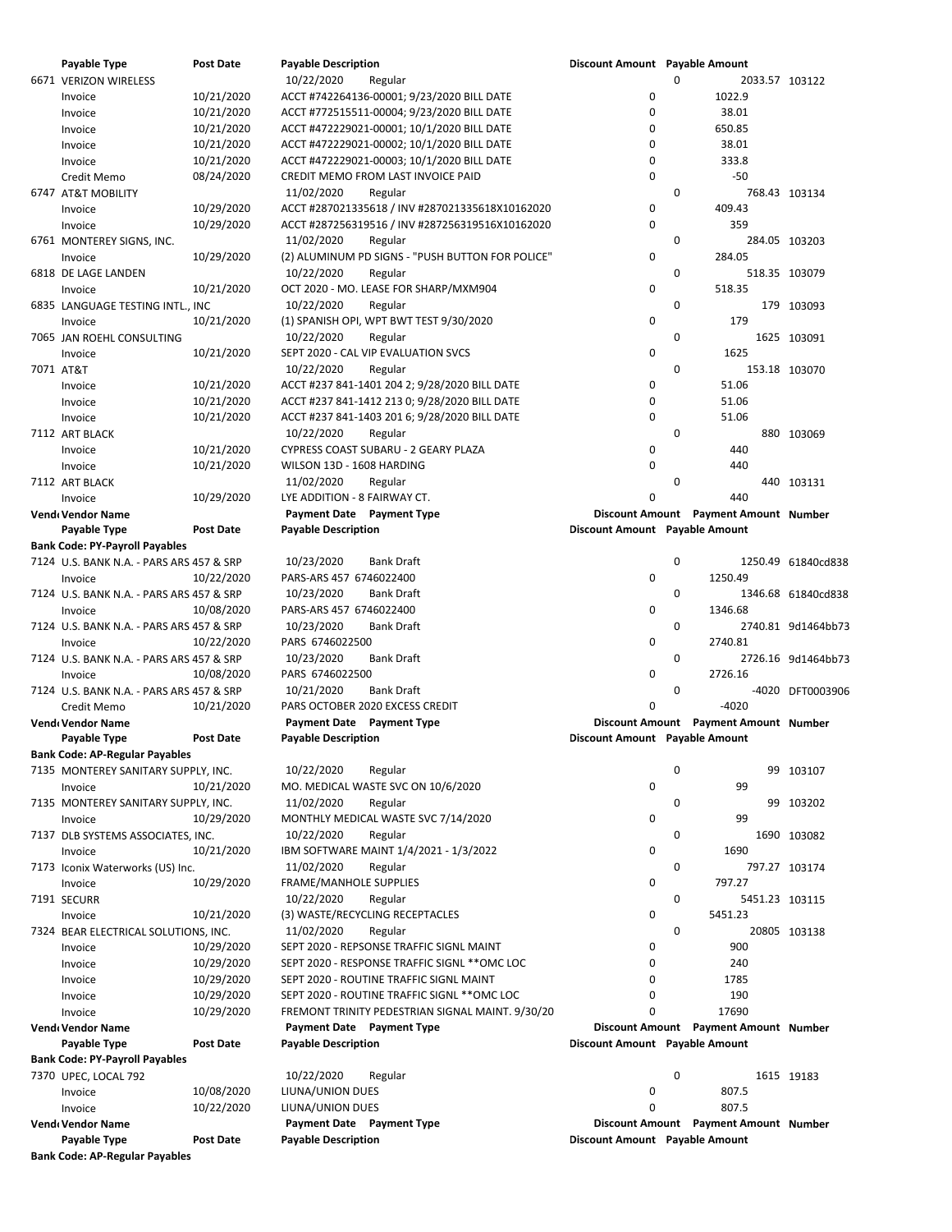| Payable Type                               | <b>Post Date</b> | <b>Payable Description</b>                       | Discount Amount Payable Amount |             |                                       |                    |
|--------------------------------------------|------------------|--------------------------------------------------|--------------------------------|-------------|---------------------------------------|--------------------|
| 6671 VERIZON WIRELESS                      |                  | 10/22/2020<br>Regular                            |                                | $\mathbf 0$ | 2033.57 103122                        |                    |
| Invoice                                    | 10/21/2020       | ACCT #742264136-00001; 9/23/2020 BILL DATE       | 0                              |             | 1022.9                                |                    |
| Invoice                                    | 10/21/2020       | ACCT #772515511-00004; 9/23/2020 BILL DATE       | $\mathbf 0$                    |             | 38.01                                 |                    |
| Invoice                                    | 10/21/2020       | ACCT #472229021-00001; 10/1/2020 BILL DATE       | 0                              |             | 650.85                                |                    |
| Invoice                                    | 10/21/2020       | ACCT #472229021-00002; 10/1/2020 BILL DATE       | $\mathbf 0$                    |             | 38.01                                 |                    |
| Invoice                                    | 10/21/2020       | ACCT #472229021-00003; 10/1/2020 BILL DATE       | 0                              |             | 333.8                                 |                    |
| Credit Memo                                | 08/24/2020       | CREDIT MEMO FROM LAST INVOICE PAID               | $\mathbf 0$                    |             | $-50$                                 |                    |
|                                            |                  |                                                  |                                | 0           |                                       |                    |
| 6747 AT&T MOBILITY                         |                  | 11/02/2020<br>Regular                            |                                |             |                                       | 768.43 103134      |
| Invoice                                    | 10/29/2020       | ACCT #287021335618 / INV #287021335618X10162020  | 0                              |             | 409.43                                |                    |
| Invoice                                    | 10/29/2020       | ACCT #287256319516 / INV #287256319516X10162020  | $\mathbf 0$                    |             | 359                                   |                    |
| 6761 MONTEREY SIGNS, INC.                  |                  | 11/02/2020<br>Regular                            |                                | 0           |                                       | 284.05 103203      |
| Invoice                                    | 10/29/2020       | (2) ALUMINUM PD SIGNS - "PUSH BUTTON FOR POLICE" | $\mathbf 0$                    |             | 284.05                                |                    |
| 6818 DE LAGE LANDEN                        |                  | 10/22/2020<br>Regular                            |                                | 0           |                                       | 518.35 103079      |
| Invoice                                    | 10/21/2020       | OCT 2020 - MO. LEASE FOR SHARP/MXM904            | $\mathbf 0$                    |             | 518.35                                |                    |
| 6835 LANGUAGE TESTING INTL., INC           |                  | 10/22/2020                                       |                                | 0           |                                       | 179 103093         |
|                                            |                  | Regular                                          |                                |             |                                       |                    |
| Invoice                                    | 10/21/2020       | (1) SPANISH OPI, WPT BWT TEST 9/30/2020          | 0                              |             | 179                                   |                    |
| 7065 JAN ROEHL CONSULTING                  |                  | 10/22/2020<br>Regular                            |                                | 0           |                                       | 1625 103091        |
| Invoice                                    | 10/21/2020       | SEPT 2020 - CAL VIP EVALUATION SVCS              | $\mathbf 0$                    |             | 1625                                  |                    |
| 7071 AT&T                                  |                  | 10/22/2020<br>Regular                            |                                | $\mathbf 0$ |                                       | 153.18 103070      |
| Invoice                                    | 10/21/2020       | ACCT #237 841-1401 204 2; 9/28/2020 BILL DATE    | 0                              |             | 51.06                                 |                    |
| Invoice                                    | 10/21/2020       | ACCT #237 841-1412 213 0; 9/28/2020 BILL DATE    | $\mathbf 0$                    |             | 51.06                                 |                    |
| Invoice                                    | 10/21/2020       | ACCT #237 841-1403 201 6; 9/28/2020 BILL DATE    | 0                              |             | 51.06                                 |                    |
|                                            |                  | 10/22/2020                                       |                                | 0           |                                       |                    |
| 7112 ART BLACK                             |                  | Regular                                          |                                |             |                                       | 880 103069         |
| Invoice                                    | 10/21/2020       | CYPRESS COAST SUBARU - 2 GEARY PLAZA             | 0                              |             | 440                                   |                    |
| Invoice                                    | 10/21/2020       | WILSON 13D - 1608 HARDING                        | $\mathbf 0$                    |             | 440                                   |                    |
| 7112 ART BLACK                             |                  | 11/02/2020<br>Regular                            |                                | 0           |                                       | 440 103131         |
| Invoice                                    | 10/29/2020       | LYE ADDITION - 8 FAIRWAY CT.                     | $\Omega$                       |             | 440                                   |                    |
| Vendı Vendor Name                          |                  | <b>Payment Date</b> Payment Type                 |                                |             | Discount Amount Payment Amount Number |                    |
| Payable Type                               | <b>Post Date</b> | <b>Payable Description</b>                       | Discount Amount Payable Amount |             |                                       |                    |
| <b>Bank Code: PY-Payroll Payables</b>      |                  |                                                  |                                |             |                                       |                    |
| 7124 U.S. BANK N.A. - PARS ARS 457 & SRP   |                  | 10/23/2020<br><b>Bank Draft</b>                  |                                | 0           |                                       | 1250.49 61840cd838 |
|                                            |                  |                                                  |                                |             |                                       |                    |
| Invoice                                    | 10/22/2020       | PARS-ARS 457 6746022400                          | 0                              |             | 1250.49                               |                    |
| 7124   U.S. BANK N.A. - PARS ARS 457 & SRP |                  | <b>Bank Draft</b><br>10/23/2020                  |                                | 0           |                                       | 1346.68 61840cd838 |
| Invoice                                    | 10/08/2020       | PARS-ARS 457 6746022400                          | $\mathbf 0$                    |             | 1346.68                               |                    |
| 7124   U.S. BANK N.A. - PARS ARS 457 & SRP |                  | 10/23/2020<br><b>Bank Draft</b>                  |                                | 0           |                                       | 2740.81 9d1464bb73 |
| Invoice                                    | 10/22/2020       | PARS 6746022500                                  | $\mathbf 0$                    |             | 2740.81                               |                    |
| 7124   U.S. BANK N.A. - PARS ARS 457 & SRP |                  | <b>Bank Draft</b><br>10/23/2020                  |                                | $\mathbf 0$ |                                       | 2726.16 9d1464bb73 |
| Invoice                                    | 10/08/2020       | PARS 6746022500                                  | $\mathbf 0$                    |             | 2726.16                               |                    |
|                                            |                  | <b>Bank Draft</b>                                |                                | 0           |                                       | -4020 DFT0003906   |
| 7124   U.S. BANK N.A. - PARS ARS 457 & SRP |                  | 10/21/2020                                       |                                |             |                                       |                    |
| Credit Memo                                | 10/21/2020       | PARS OCTOBER 2020 EXCESS CREDIT                  | 0                              |             | $-4020$                               |                    |
| Vendı Vendor Name                          |                  | <b>Payment Date</b> Payment Type                 |                                |             | Discount Amount Payment Amount Number |                    |
| Payable Type                               | <b>Post Date</b> | <b>Payable Description</b>                       | Discount Amount Payable Amount |             |                                       |                    |
| <b>Bank Code: AP-Regular Payables</b>      |                  |                                                  |                                |             |                                       |                    |
| 7135 MONTEREY SANITARY SUPPLY, INC.        |                  | 10/22/2020<br>Regular                            |                                | 0           |                                       | 99 103107          |
| Invoice                                    | 10/21/2020       | MO. MEDICAL WASTE SVC ON 10/6/2020               | 0                              |             | 99                                    |                    |
| 7135 MONTEREY SANITARY SUPPLY, INC.        |                  | 11/02/2020<br>Regular                            |                                | 0           |                                       | 99 103202          |
| Invoice                                    | 10/29/2020       | MONTHLY MEDICAL WASTE SVC 7/14/2020              | 0                              |             | 99                                    |                    |
|                                            |                  |                                                  |                                |             |                                       |                    |
| 7137 DLB SYSTEMS ASSOCIATES, INC.          |                  | 10/22/2020<br>Regular                            |                                | 0           |                                       | 1690 103082        |
| Invoice                                    | 10/21/2020       | IBM SOFTWARE MAINT 1/4/2021 - 1/3/2022           | 0                              |             | 1690                                  |                    |
| 7173 Iconix Waterworks (US) Inc.           |                  | 11/02/2020<br>Regular                            |                                | 0           |                                       | 797.27 103174      |
| Invoice                                    | 10/29/2020       | FRAME/MANHOLE SUPPLIES                           | 0                              |             | 797.27                                |                    |
| 7191 SECURR                                |                  | 10/22/2020<br>Regular                            |                                | 0           | 5451.23 103115                        |                    |
| Invoice                                    | 10/21/2020       | (3) WASTE/RECYCLING RECEPTACLES                  | 0                              |             | 5451.23                               |                    |
| 7324 BEAR ELECTRICAL SOLUTIONS, INC.       |                  | 11/02/2020<br>Regular                            |                                | 0           |                                       | 20805 103138       |
|                                            | 10/29/2020       | SEPT 2020 - REPSONSE TRAFFIC SIGNL MAINT         | 0                              |             | 900                                   |                    |
| Invoice                                    |                  |                                                  |                                |             |                                       |                    |
| Invoice                                    | 10/29/2020       | SEPT 2020 - RESPONSE TRAFFIC SIGNL ** OMC LOC    | 0                              |             | 240                                   |                    |
| Invoice                                    | 10/29/2020       | SEPT 2020 - ROUTINE TRAFFIC SIGNL MAINT          | 0                              |             | 1785                                  |                    |
| Invoice                                    | 10/29/2020       | SEPT 2020 - ROUTINE TRAFFIC SIGNL ** OMC LOC     | 0                              |             | 190                                   |                    |
| Invoice                                    | 10/29/2020       | FREMONT TRINITY PEDESTRIAN SIGNAL MAINT. 9/30/20 | 0                              |             | 17690                                 |                    |
| Vendı Vendor Name                          |                  | Payment Date Payment Type                        |                                |             | Discount Amount Payment Amount Number |                    |
| Payable Type                               | Post Date        | <b>Payable Description</b>                       | Discount Amount Payable Amount |             |                                       |                    |
| <b>Bank Code: PY-Payroll Payables</b>      |                  |                                                  |                                |             |                                       |                    |
|                                            |                  |                                                  |                                | 0           |                                       |                    |
| 7370 UPEC, LOCAL 792                       |                  | 10/22/2020<br>Regular                            |                                |             |                                       | 1615 19183         |
| Invoice                                    | 10/08/2020       | LIUNA/UNION DUES                                 | 0                              |             | 807.5                                 |                    |
| Invoice                                    | 10/22/2020       | LIUNA/UNION DUES                                 | $\Omega$                       |             | 807.5                                 |                    |
| Vendı Vendor Name                          |                  | <b>Payment Date</b> Payment Type                 |                                |             | Discount Amount Payment Amount Number |                    |
| Payable Type                               | <b>Post Date</b> | <b>Payable Description</b>                       | Discount Amount Payable Amount |             |                                       |                    |

**Bank Code: AP‐Regular Payables**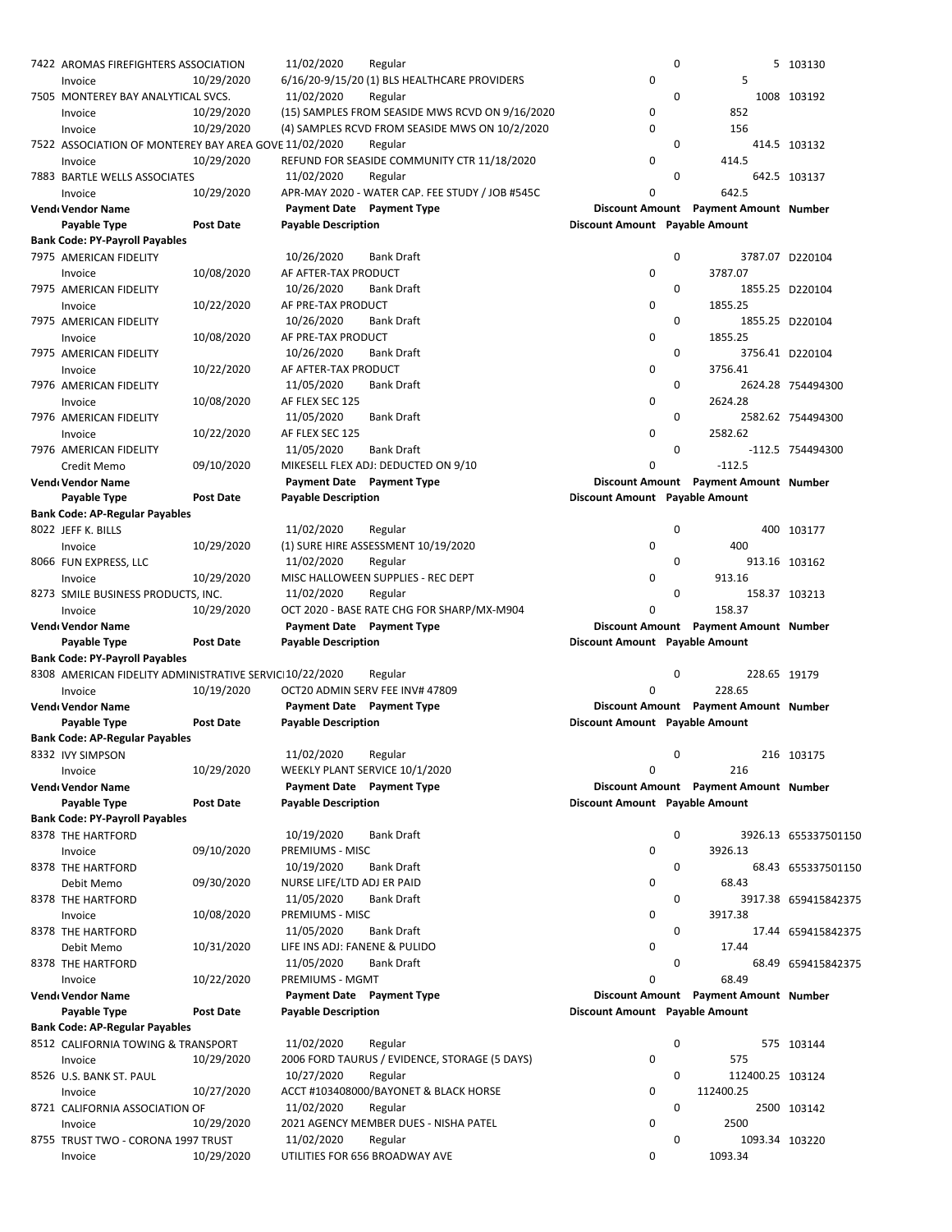| 7422 AROMAS FIREFIGHTERS ASSOCIATION                    |                  | 11/02/2020<br>Regular                           |                                | 0           |                                       | 5 103130             |
|---------------------------------------------------------|------------------|-------------------------------------------------|--------------------------------|-------------|---------------------------------------|----------------------|
| Invoice                                                 | 10/29/2020       | 6/16/20-9/15/20 (1) BLS HEALTHCARE PROVIDERS    | 0                              |             | 5                                     |                      |
| 7505 MONTEREY BAY ANALYTICAL SVCS.                      |                  | 11/02/2020<br>Regular                           |                                | 0           |                                       | 1008 103192          |
| Invoice                                                 | 10/29/2020       | (15) SAMPLES FROM SEASIDE MWS RCVD ON 9/16/2020 | 0                              |             | 852                                   |                      |
| Invoice                                                 | 10/29/2020       | (4) SAMPLES RCVD FROM SEASIDE MWS ON 10/2/2020  | $\mathbf 0$                    |             | 156                                   |                      |
| 7522 ASSOCIATION OF MONTEREY BAY AREA GOVE 11/02/2020   |                  | Regular                                         |                                | 0           |                                       | 414.5 103132         |
| Invoice                                                 | 10/29/2020       | REFUND FOR SEASIDE COMMUNITY CTR 11/18/2020     | 0                              |             | 414.5                                 |                      |
|                                                         |                  | Regular<br>11/02/2020                           |                                | $\mathbf 0$ |                                       | 642.5 103137         |
| 7883 BARTLE WELLS ASSOCIATES                            |                  |                                                 |                                |             |                                       |                      |
| Invoice                                                 | 10/29/2020       | APR-MAY 2020 - WATER CAP. FEE STUDY / JOB #545C | 0                              |             | 642.5                                 |                      |
| Vend Vendor Name                                        |                  | Payment Date Payment Type                       |                                |             | Discount Amount Payment Amount Number |                      |
| Payable Type                                            | <b>Post Date</b> | <b>Payable Description</b>                      | Discount Amount Payable Amount |             |                                       |                      |
| <b>Bank Code: PY-Payroll Payables</b>                   |                  |                                                 |                                |             |                                       |                      |
| 7975 AMERICAN FIDELITY                                  |                  | 10/26/2020<br><b>Bank Draft</b>                 |                                | 0           |                                       | 3787.07 D220104      |
| Invoice                                                 | 10/08/2020       | AF AFTER-TAX PRODUCT                            | 0                              |             | 3787.07                               |                      |
| 7975 AMERICAN FIDELITY                                  |                  | 10/26/2020<br><b>Bank Draft</b>                 |                                | 0           |                                       | 1855.25 D220104      |
| Invoice                                                 | 10/22/2020       | AF PRE-TAX PRODUCT                              | 0                              |             | 1855.25                               |                      |
|                                                         |                  | 10/26/2020<br><b>Bank Draft</b>                 |                                | 0           |                                       |                      |
| 7975 AMERICAN FIDELITY                                  |                  |                                                 |                                |             |                                       | 1855.25 D220104      |
| Invoice                                                 | 10/08/2020       | AF PRE-TAX PRODUCT                              | 0                              |             | 1855.25                               |                      |
| 7975 AMERICAN FIDELITY                                  |                  | 10/26/2020<br>Bank Draft                        |                                | $\mathbf 0$ |                                       | 3756.41 D220104      |
| Invoice                                                 | 10/22/2020       | AF AFTER-TAX PRODUCT                            | 0                              |             | 3756.41                               |                      |
| 7976 AMERICAN FIDELITY                                  |                  | 11/05/2020<br>Bank Draft                        |                                | $\mathbf 0$ |                                       | 2624.28 754494300    |
| Invoice                                                 | 10/08/2020       | AF FLEX SEC 125                                 | 0                              |             | 2624.28                               |                      |
| 7976 AMERICAN FIDELITY                                  |                  | 11/05/2020<br><b>Bank Draft</b>                 |                                | 0           |                                       | 2582.62 754494300    |
| Invoice                                                 | 10/22/2020       | AF FLEX SEC 125                                 | 0                              |             | 2582.62                               |                      |
| 7976 AMERICAN FIDELITY                                  |                  | 11/05/2020<br><b>Bank Draft</b>                 |                                | 0           |                                       | -112.5 754494300     |
|                                                         |                  | MIKESELL FLEX ADJ: DEDUCTED ON 9/10             | 0                              |             |                                       |                      |
| Credit Memo                                             | 09/10/2020       |                                                 |                                |             | $-112.5$                              |                      |
| Vend Vendor Name                                        |                  | Payment Date Payment Type                       |                                |             | Discount Amount Payment Amount Number |                      |
| Payable Type                                            | <b>Post Date</b> | <b>Payable Description</b>                      | Discount Amount Payable Amount |             |                                       |                      |
| <b>Bank Code: AP-Regular Payables</b>                   |                  |                                                 |                                |             |                                       |                      |
| 8022 JEFF K. BILLS                                      |                  | 11/02/2020<br>Regular                           |                                | 0           |                                       | 400 103177           |
| Invoice                                                 | 10/29/2020       | (1) SURE HIRE ASSESSMENT 10/19/2020             | 0                              |             | 400                                   |                      |
| 8066 FUN EXPRESS, LLC                                   |                  | 11/02/2020<br>Regular                           |                                | 0           |                                       | 913.16 103162        |
| Invoice                                                 | 10/29/2020       | MISC HALLOWEEN SUPPLIES - REC DEPT              | 0                              |             | 913.16                                |                      |
| 8273 SMILE BUSINESS PRODUCTS, INC.                      |                  | 11/02/2020<br>Regular                           |                                | 0           |                                       | 158.37 103213        |
|                                                         |                  |                                                 |                                |             |                                       |                      |
|                                                         |                  |                                                 |                                |             |                                       |                      |
| Invoice                                                 | 10/29/2020       | OCT 2020 - BASE RATE CHG FOR SHARP/MX-M904      | $\Omega$                       |             | 158.37                                |                      |
| Vend Vendor Name                                        |                  | Payment Date Payment Type                       |                                |             | Discount Amount Payment Amount Number |                      |
| Payable Type                                            | <b>Post Date</b> | <b>Payable Description</b>                      | Discount Amount Payable Amount |             |                                       |                      |
| <b>Bank Code: PY-Payroll Payables</b>                   |                  |                                                 |                                |             |                                       |                      |
| 8308 AMERICAN FIDELITY ADMINISTRATIVE SERVICI10/22/2020 |                  | Regular                                         |                                | 0           | 228.65 19179                          |                      |
| Invoice                                                 | 10/19/2020       | OCT20 ADMIN SERV FEE INV# 47809                 | 0                              |             | 228.65                                |                      |
| Vend Vendor Name                                        |                  | <b>Payment Date</b> Payment Type                |                                |             | Discount Amount Payment Amount Number |                      |
|                                                         |                  |                                                 |                                |             |                                       |                      |
| Payable Type                                            | <b>Post Date</b> | <b>Payable Description</b>                      | Discount Amount Payable Amount |             |                                       |                      |
| <b>Bank Code: AP-Regular Payables</b>                   |                  |                                                 |                                |             |                                       |                      |
| 8332 IVY SIMPSON                                        |                  | 11/02/2020<br>Regular                           |                                | 0           |                                       | 216 103175           |
| Invoice                                                 | 10/29/2020       | WEEKLY PLANT SERVICE 10/1/2020                  | 0                              |             | 216                                   |                      |
| <b>Vend</b> Vendor Name                                 |                  | Payment Date Payment Type                       |                                |             | Discount Amount Payment Amount Number |                      |
| Payable Type                                            | Post Date        | <b>Payable Description</b>                      | Discount Amount Payable Amount |             |                                       |                      |
| <b>Bank Code: PY-Payroll Payables</b>                   |                  |                                                 |                                |             |                                       |                      |
| 8378 THE HARTFORD                                       |                  | 10/19/2020<br><b>Bank Draft</b>                 |                                | 0           |                                       | 3926.13 655337501150 |
| Invoice                                                 | 09/10/2020       | PREMIUMS - MISC                                 | 0                              |             | 3926.13                               |                      |
|                                                         |                  | 10/19/2020<br><b>Bank Draft</b>                 |                                | 0           |                                       |                      |
| 8378 THE HARTFORD                                       |                  |                                                 |                                |             |                                       | 68.43 655337501150   |
| Debit Memo                                              | 09/30/2020       | NURSE LIFE/LTD ADJ ER PAID                      | 0                              |             | 68.43                                 |                      |
| 8378 THE HARTFORD                                       |                  | 11/05/2020<br><b>Bank Draft</b>                 |                                | 0           |                                       | 3917.38 659415842375 |
| Invoice                                                 | 10/08/2020       | PREMIUMS - MISC                                 | 0                              |             | 3917.38                               |                      |
| 8378 THE HARTFORD                                       |                  | 11/05/2020<br><b>Bank Draft</b>                 |                                | 0           |                                       | 17.44 659415842375   |
| Debit Memo                                              | 10/31/2020       | LIFE INS ADJ: FANENE & PULIDO                   | 0                              |             | 17.44                                 |                      |
| 8378 THE HARTFORD                                       |                  | 11/05/2020<br><b>Bank Draft</b>                 |                                | 0           |                                       | 68.49 659415842375   |
| Invoice                                                 | 10/22/2020       | PREMIUMS - MGMT                                 | 0                              |             | 68.49                                 |                      |
| Vend Vendor Name                                        |                  | Payment Date Payment Type                       |                                |             | Discount Amount Payment Amount Number |                      |
| Payable Type                                            | Post Date        | <b>Payable Description</b>                      | Discount Amount Payable Amount |             |                                       |                      |
|                                                         |                  |                                                 |                                |             |                                       |                      |
| <b>Bank Code: AP-Regular Payables</b>                   |                  |                                                 |                                |             |                                       |                      |
| 8512 CALIFORNIA TOWING & TRANSPORT                      |                  | 11/02/2020<br>Regular                           |                                | 0           |                                       | 575 103144           |
| Invoice                                                 | 10/29/2020       | 2006 FORD TAURUS / EVIDENCE, STORAGE (5 DAYS)   | 0                              |             | 575                                   |                      |
| 8526 U.S. BANK ST. PAUL                                 |                  | 10/27/2020<br>Regular                           |                                | 0           | 112400.25 103124                      |                      |
| Invoice                                                 | 10/27/2020       | ACCT #103408000/BAYONET & BLACK HORSE           | 0                              |             | 112400.25                             |                      |
| 8721 CALIFORNIA ASSOCIATION OF                          |                  | 11/02/2020<br>Regular                           |                                | 0           |                                       | 2500 103142          |
| Invoice                                                 | 10/29/2020       | 2021 AGENCY MEMBER DUES - NISHA PATEL           | 0                              |             | 2500                                  |                      |
| 8755 TRUST TWO - CORONA 1997 TRUST                      |                  | 11/02/2020<br>Regular                           |                                | 0           | 1093.34 103220                        |                      |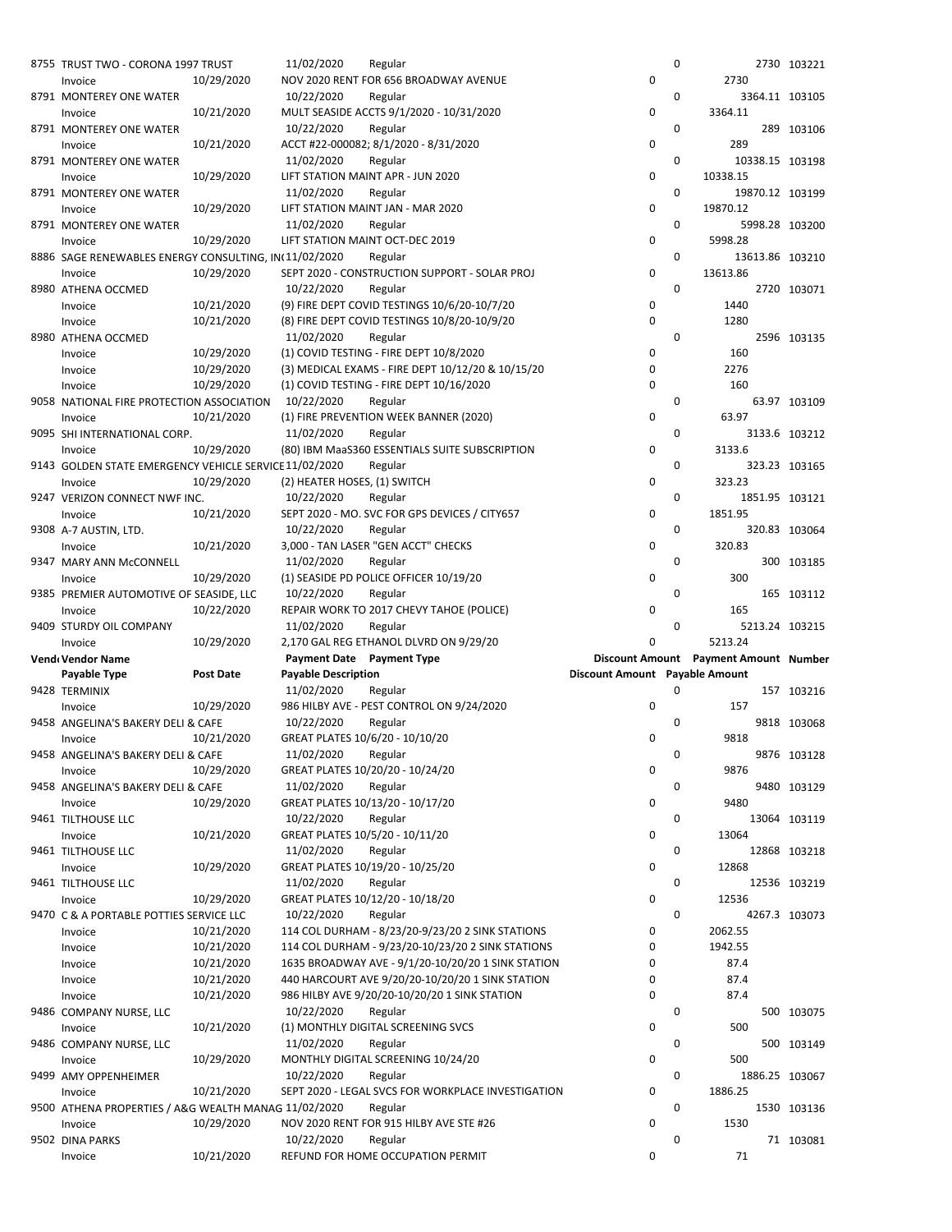| 8755 TRUST TWO - CORONA 1997 TRUST                     |            | 11/02/2020                   | Regular                                            |                                | 0           |                                              | 2730 103221    |
|--------------------------------------------------------|------------|------------------------------|----------------------------------------------------|--------------------------------|-------------|----------------------------------------------|----------------|
| Invoice                                                | 10/29/2020 |                              | NOV 2020 RENT FOR 656 BROADWAY AVENUE              | 0                              |             | 2730                                         |                |
| 8791 MONTEREY ONE WATER                                |            | 10/22/2020                   | Regular                                            |                                | 0           |                                              | 3364.11 103105 |
| Invoice                                                | 10/21/2020 |                              | MULT SEASIDE ACCTS 9/1/2020 - 10/31/2020           | 0                              |             | 3364.11                                      |                |
| 8791 MONTEREY ONE WATER                                |            | 10/22/2020                   | Regular                                            |                                | $\mathbf 0$ |                                              | 289 103106     |
| Invoice                                                | 10/21/2020 |                              | ACCT #22-000082; 8/1/2020 - 8/31/2020              | 0                              |             | 289                                          |                |
| 8791 MONTEREY ONE WATER                                |            | 11/02/2020                   | Regular                                            |                                | 0           | 10338.15 103198                              |                |
|                                                        |            |                              |                                                    | 0                              |             | 10338.15                                     |                |
| Invoice                                                | 10/29/2020 |                              | LIFT STATION MAINT APR - JUN 2020                  |                                |             |                                              |                |
| 8791 MONTEREY ONE WATER                                |            | 11/02/2020                   | Regular                                            |                                | 0           | 19870.12 103199                              |                |
| Invoice                                                | 10/29/2020 |                              | LIFT STATION MAINT JAN - MAR 2020                  | 0                              |             | 19870.12                                     |                |
| 8791 MONTEREY ONE WATER                                |            | 11/02/2020                   | Regular                                            |                                | 0           |                                              | 5998.28 103200 |
| Invoice                                                | 10/29/2020 |                              | LIFT STATION MAINT OCT-DEC 2019                    | 0                              |             | 5998.28                                      |                |
| 8886 SAGE RENEWABLES ENERGY CONSULTING, IN(11/02/2020  |            |                              | Regular                                            |                                | 0           | 13613.86 103210                              |                |
| Invoice                                                | 10/29/2020 |                              | SEPT 2020 - CONSTRUCTION SUPPORT - SOLAR PROJ      | 0                              |             | 13613.86                                     |                |
| 8980 ATHENA OCCMED                                     |            | 10/22/2020                   | Regular                                            |                                | 0           |                                              | 2720 103071    |
| Invoice                                                | 10/21/2020 |                              | (9) FIRE DEPT COVID TESTINGS 10/6/20-10/7/20       | 0                              |             | 1440                                         |                |
| Invoice                                                | 10/21/2020 |                              | (8) FIRE DEPT COVID TESTINGS 10/8/20-10/9/20       | 0                              |             | 1280                                         |                |
| 8980 ATHENA OCCMED                                     |            | 11/02/2020                   | Regular                                            |                                | 0           |                                              | 2596 103135    |
|                                                        |            |                              | (1) COVID TESTING - FIRE DEPT 10/8/2020            | 0                              |             | 160                                          |                |
| Invoice                                                | 10/29/2020 |                              |                                                    |                                |             |                                              |                |
| Invoice                                                | 10/29/2020 |                              | (3) MEDICAL EXAMS - FIRE DEPT 10/12/20 & 10/15/20  | 0                              |             | 2276                                         |                |
| Invoice                                                | 10/29/2020 |                              | (1) COVID TESTING - FIRE DEPT 10/16/2020           | 0                              |             | 160                                          |                |
| 9058 NATIONAL FIRE PROTECTION ASSOCIATION              |            | 10/22/2020                   | Regular                                            |                                | 0           |                                              | 63.97 103109   |
| Invoice                                                | 10/21/2020 |                              | (1) FIRE PREVENTION WEEK BANNER (2020)             | 0                              |             | 63.97                                        |                |
| 9095 SHI INTERNATIONAL CORP.                           |            | 11/02/2020                   | Regular                                            |                                | 0           |                                              | 3133.6 103212  |
| Invoice                                                | 10/29/2020 |                              | (80) IBM MaaS360 ESSENTIALS SUITE SUBSCRIPTION     | 0                              |             | 3133.6                                       |                |
| 9143 GOLDEN STATE EMERGENCY VEHICLE SERVICE 11/02/2020 |            |                              | Regular                                            |                                | 0           |                                              | 323.23 103165  |
| Invoice                                                | 10/29/2020 | (2) HEATER HOSES, (1) SWITCH |                                                    | 0                              |             | 323.23                                       |                |
| 9247 VERIZON CONNECT NWF INC.                          |            | 10/22/2020                   | Regular                                            |                                | $\mathbf 0$ |                                              | 1851.95 103121 |
| Invoice                                                | 10/21/2020 |                              | SEPT 2020 - MO. SVC FOR GPS DEVICES / CITY657      | 0                              |             | 1851.95                                      |                |
| 9308 A-7 AUSTIN, LTD.                                  |            | 10/22/2020                   | Regular                                            |                                | $\mathbf 0$ |                                              | 320.83 103064  |
|                                                        | 10/21/2020 |                              | 3,000 - TAN LASER "GEN ACCT" CHECKS                | 0                              |             | 320.83                                       |                |
| Invoice                                                |            |                              |                                                    |                                |             |                                              |                |
| 9347 MARY ANN McCONNELL                                |            | 11/02/2020                   | Regular                                            |                                | 0           |                                              | 300 103185     |
| Invoice                                                | 10/29/2020 |                              | (1) SEASIDE PD POLICE OFFICER 10/19/20             | 0                              |             | 300                                          |                |
| 9385 PREMIER AUTOMOTIVE OF SEASIDE, LLC                |            | 10/22/2020                   | Regular                                            |                                | 0           |                                              | 165 103112     |
|                                                        |            |                              |                                                    |                                |             |                                              |                |
| Invoice                                                | 10/22/2020 |                              | REPAIR WORK TO 2017 CHEVY TAHOE (POLICE)           | 0                              |             | 165                                          |                |
| 9409 STURDY OIL COMPANY                                |            | 11/02/2020                   | Regular                                            |                                | 0           |                                              | 5213.24 103215 |
| Invoice                                                | 10/29/2020 |                              | 2,170 GAL REG ETHANOL DLVRD ON 9/29/20             | 0                              |             | 5213.24                                      |                |
| Vend Vendor Name                                       |            |                              | Payment Date Payment Type                          |                                |             | <b>Discount Amount</b> Payment Amount Number |                |
|                                                        | Post Date  |                              |                                                    |                                |             |                                              |                |
| Payable Type                                           |            | <b>Payable Description</b>   |                                                    | Discount Amount Payable Amount | 0           |                                              |                |
| 9428 TERMINIX                                          |            | 11/02/2020                   | Regular                                            |                                |             |                                              | 157 103216     |
| Invoice                                                | 10/29/2020 |                              | 986 HILBY AVE - PEST CONTROL ON 9/24/2020          | 0                              |             | 157                                          |                |
| 9458 ANGELINA'S BAKERY DELI & CAFE                     |            | 10/22/2020                   | Regular                                            |                                | 0           |                                              | 9818 103068    |
| Invoice                                                | 10/21/2020 |                              | GREAT PLATES 10/6/20 - 10/10/20                    | 0                              |             | 9818                                         |                |
| 9458 ANGELINA'S BAKERY DELI & CAFE                     |            | 11/02/2020 Regular           |                                                    |                                | 0           |                                              | 9876 103128    |
| Invoice                                                | 10/29/2020 |                              | GREAT PLATES 10/20/20 - 10/24/20                   | 0                              |             | 9876                                         |                |
| 9458 ANGELINA'S BAKERY DELI & CAFE                     |            | 11/02/2020                   | Regular                                            |                                | 0           |                                              | 9480 103129    |
| Invoice                                                | 10/29/2020 |                              | GREAT PLATES 10/13/20 - 10/17/20                   | 0                              |             | 9480                                         |                |
| 9461 TILTHOUSE LLC                                     |            | 10/22/2020                   | Regular                                            |                                | 0           |                                              | 13064 103119   |
| Invoice                                                | 10/21/2020 |                              | GREAT PLATES 10/5/20 - 10/11/20                    | 0                              |             | 13064                                        |                |
| 9461 TILTHOUSE LLC                                     |            | 11/02/2020                   | Regular                                            |                                | 0           |                                              | 12868 103218   |
| Invoice                                                | 10/29/2020 |                              | GREAT PLATES 10/19/20 - 10/25/20                   | 0                              |             | 12868                                        |                |
| 9461 TILTHOUSE LLC                                     |            | 11/02/2020                   | Regular                                            |                                | 0           |                                              | 12536 103219   |
|                                                        |            |                              |                                                    |                                |             | 12536                                        |                |
| Invoice                                                | 10/29/2020 |                              | GREAT PLATES 10/12/20 - 10/18/20                   | 0                              |             |                                              |                |
| 9470 C & A PORTABLE POTTIES SERVICE LLC                |            | 10/22/2020                   | Regular                                            |                                | 0           |                                              | 4267.3 103073  |
| Invoice                                                | 10/21/2020 |                              | 114 COL DURHAM - 8/23/20-9/23/20 2 SINK STATIONS   | 0                              |             | 2062.55                                      |                |
| Invoice                                                | 10/21/2020 |                              | 114 COL DURHAM - 9/23/20-10/23/20 2 SINK STATIONS  | 0                              |             | 1942.55                                      |                |
| Invoice                                                | 10/21/2020 |                              | 1635 BROADWAY AVE - 9/1/20-10/20/20 1 SINK STATION | 0                              |             | 87.4                                         |                |
| Invoice                                                | 10/21/2020 |                              | 440 HARCOURT AVE 9/20/20-10/20/20 1 SINK STATION   | 0                              |             | 87.4                                         |                |
| Invoice                                                | 10/21/2020 |                              | 986 HILBY AVE 9/20/20-10/20/20 1 SINK STATION      | 0                              |             | 87.4                                         |                |
| 9486 COMPANY NURSE, LLC                                |            | 10/22/2020                   | Regular                                            |                                | 0           |                                              | 500 103075     |
| Invoice                                                | 10/21/2020 |                              | (1) MONTHLY DIGITAL SCREENING SVCS                 | 0                              |             | 500                                          |                |
| 9486 COMPANY NURSE, LLC                                |            | 11/02/2020                   | Regular                                            |                                | 0           |                                              | 500 103149     |
| Invoice                                                | 10/29/2020 |                              | MONTHLY DIGITAL SCREENING 10/24/20                 | 0                              |             | 500                                          |                |
| 9499 AMY OPPENHEIMER                                   |            | 10/22/2020                   | Regular                                            |                                | 0           |                                              | 1886.25 103067 |
| Invoice                                                | 10/21/2020 |                              | SEPT 2020 - LEGAL SVCS FOR WORKPLACE INVESTIGATION | 0                              |             | 1886.25                                      |                |
| 9500 ATHENA PROPERTIES / A&G WEALTH MANAG 11/02/2020   |            |                              | Regular                                            |                                | 0           |                                              | 1530 103136    |
| Invoice                                                | 10/29/2020 |                              | NOV 2020 RENT FOR 915 HILBY AVE STE #26            | 0                              |             | 1530                                         |                |
|                                                        |            |                              |                                                    |                                |             |                                              |                |
| 9502 DINA PARKS<br>Invoice                             | 10/21/2020 | 10/22/2020                   | Regular<br>REFUND FOR HOME OCCUPATION PERMIT       | 0                              | 0           | 71                                           | 71 103081      |